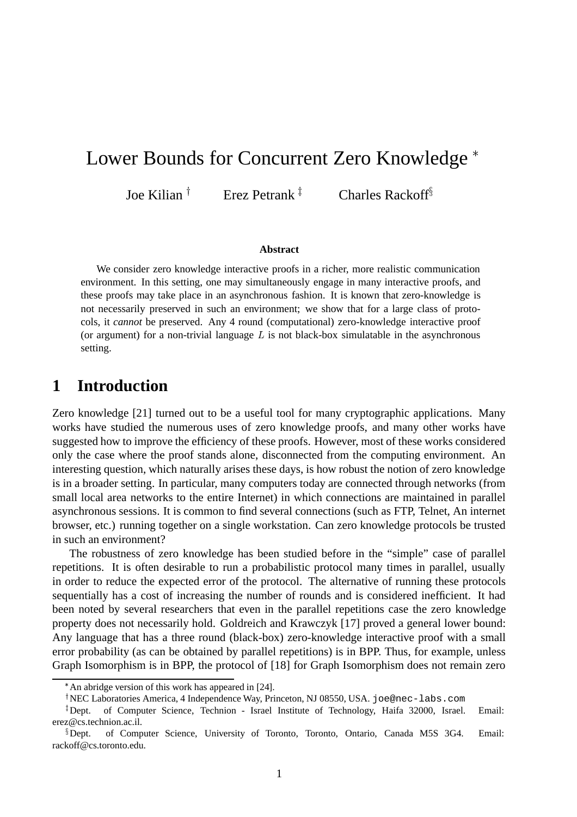# Lower Bounds for Concurrent Zero Knowledge<sup>\*</sup>

Joe Kilian<sup>†</sup> Erez Petrank<sup>1</sup>  $Charles$  Rackoff $\frac{6}{3}$ 

#### **Abstract**

We consider zero knowledge interactive proofs in a richer, more realistic communication environment. In this setting, one may simultaneously engage in many interactive proofs, and these proofs may take place in an asynchronous fashion. It is known that zero-knowledge is not necessarily preserved in such an environment; we show that for a large class of protocols, it *cannot* be preserved. Any 4 round (computational) zero-knowledge interactive proof (or argument) for a non-trivial language  $L$  is not black-box simulatable in the asynchronous setting.

## **1 Introduction**

Zero knowledge [21] turned out to be a useful tool for many cryptographic applications. Many works have studied the numerous uses of zero knowledge proofs, and many other works have suggested how to improve the efficiency of these proofs. However, most of these works considered only the case where the proof stands alone, disconnected from the computing environment. An interesting question, which naturally arises these days, is how robust the notion of zero knowledge is in a broader setting. In particular, many computers today are connected through networks (from small local area networks to the entire Internet) in which connections are maintained in parallel asynchronous sessions. It is common to find several connections (such as FTP, Telnet, An internet browser, etc.) running together on a single workstation. Can zero knowledge protocols be trusted in such an environment?

The robustness of zero knowledge has been studied before in the "simple" case of parallel repetitions. It is often desirable to run a probabilistic protocol many times in parallel, usually in order to reduce the expected error of the protocol. The alternative of running these protocols sequentially has a cost of increasing the number of rounds and is considered inefficient. It had been noted by several researchers that even in the parallel repetitions case the zero knowledge property does not necessarily hold. Goldreich and Krawczyk [17] proved a general lower bound: Any language that has a three round (black-box) zero-knowledge interactive proof with a small error probability (as can be obtained by parallel repetitions) is in BPP. Thus, for example, unless Graph Isomorphism is in BPP, the protocol of [18] for Graph Isomorphism does not remain zero

An abridge version of this work has appeared in [24].

NEC Laboratories America, 4 Independence Way, Princeton, NJ 08550, USA. joe@nec-labs.com

 $\overline{P}$  Dept. of Computer Science, Technion - Israel Institute of Technology, Haifa 32000, Israel. Email: erez@cs.technion.ac.il.

 ${}^{\S}$ Dept. of Computer Science, University of Toronto, Toronto, Ontario, Canada M5S 3G4. Email: rackoff@cs.toronto.edu.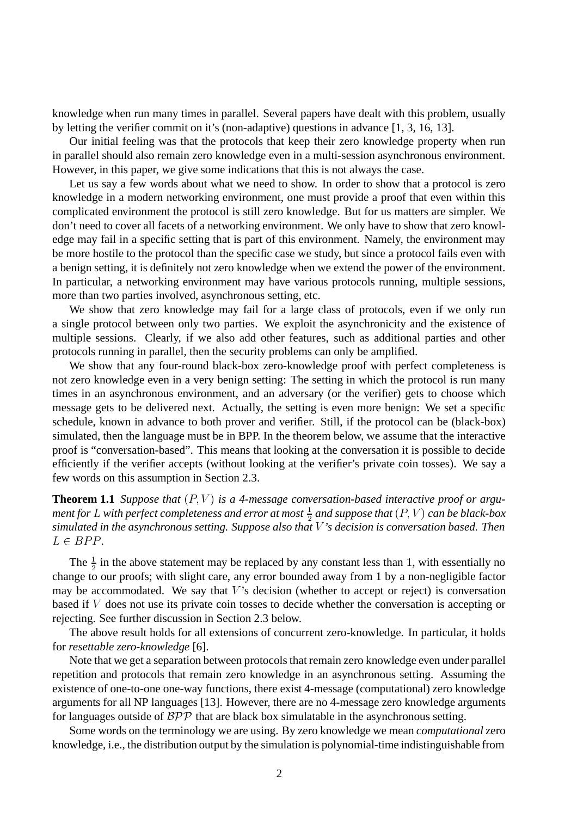knowledge when run many times in parallel. Several papers have dealt with this problem, usually by letting the verifier commit on it's (non-adaptive) questions in advance [1, 3, 16, 13].

Our initial feeling was that the protocols that keep their zero knowledge property when run in parallel should also remain zero knowledge even in a multi-session asynchronous environment. However, in this paper, we give some indications that this is not always the case.

Let us say a few words about what we need to show. In order to show that a protocol is zero knowledge in a modern networking environment, one must provide a proof that even within this complicated environment the protocol is still zero knowledge. But for us matters are simpler. We don't need to cover all facets of a networking environment. We only have to show that zero knowledge may fail in a specific setting that is part of this environment. Namely, the environment may be more hostile to the protocol than the specific case we study, but since a protocol fails even with a benign setting, it is definitely not zero knowledge when we extend the power of the environment. In particular, a networking environment may have various protocols running, multiple sessions, more than two parties involved, asynchronous setting, etc.

We show that zero knowledge may fail for a large class of protocols, even if we only run a single protocol between only two parties. We exploit the asynchronicity and the existence of multiple sessions. Clearly, if we also add other features, such as additional parties and other protocols running in parallel, then the security problems can only be amplified.

We show that any four-round black-box zero-knowledge proof with perfect completeness is not zero knowledge even in a very benign setting: The setting in which the protocol is run many times in an asynchronous environment, and an adversary (or the verifier) gets to choose which message gets to be delivered next. Actually, the setting is even more benign: We set a specific schedule, known in advance to both prover and verifier. Still, if the protocol can be (black-box) simulated, then the language must be in BPP. In the theorem below, we assume that the interactive proof is "conversation-based". This means that looking at the conversation it is possible to decide efficiently if the verifier accepts (without looking at the verifier's private coin tosses). We say a few words on this assumption in Section 2.3.

**Theorem 1.1** *Suppose that*  $(P, V)$  *is a 4-message conversation-based interactive proof or argu*ment for  $L$  with perfect completeness and error at most  $\frac{1}{2}$  and suppose that  $(P,V)$  can be black-box simulated in the asynchronous setting. Suppose also that V's decision is conversation based. Then  $L \in BPP$ .

The  $\frac{1}{2}$  in the above statement may be replaced by any constant less than 1, with essentially no change to our proofs; with slight care, any error bounded away from 1 by a non-negligible factor may be accommodated. We say that  $V$ 's decision (whether to accept or reject) is conversation based if  $V$  does not use its private coin tosses to decide whether the conversation is accepting or rejecting. See further discussion in Section 2.3 below.

The above result holds for all extensions of concurrent zero-knowledge. In particular, it holds for *resettable zero-knowledge* [6].

Note that we get a separation between protocols that remain zero knowledge even under parallel repetition and protocols that remain zero knowledge in an asynchronous setting. Assuming the existence of one-to-one one-way functions, there exist 4-message (computational) zero knowledge arguments for all NP languages [13]. However, there are no 4-message zero knowledge arguments for languages outside of  $BPP$  that are black box simulatable in the asynchronous setting.

Some words on the terminology we are using. By zero knowledge we mean *computational* zero knowledge, i.e., the distribution output by the simulation is polynomial-time indistinguishable from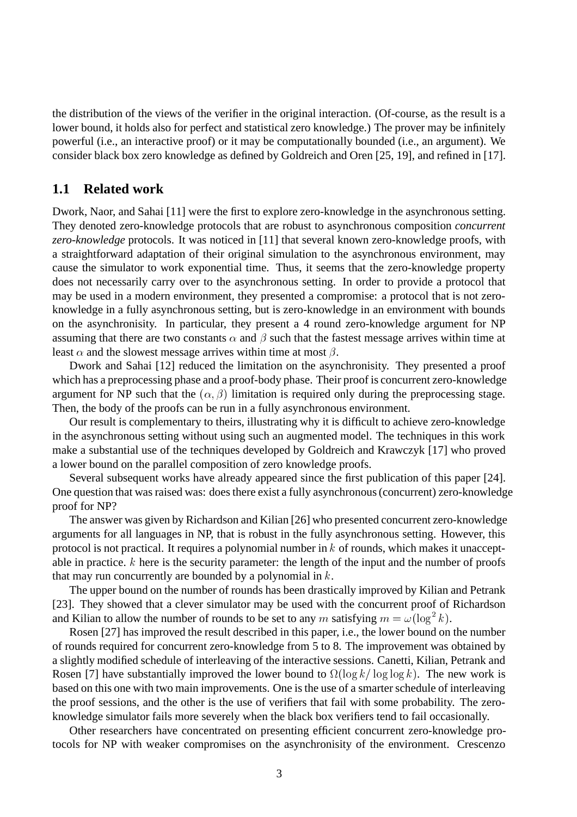the distribution of the views of the verifier in the original interaction. (Of-course, as the result is a lower bound, it holds also for perfect and statistical zero knowledge.) The prover may be infinitely powerful (i.e., an interactive proof) or it may be computationally bounded (i.e., an argument). We consider black box zero knowledge as defined by Goldreich and Oren [25, 19], and refined in [17].

## **1.1 Related work**

Dwork, Naor, and Sahai [11] were the first to explore zero-knowledge in the asynchronous setting. They denoted zero-knowledge protocols that are robust to asynchronous composition *concurrent zero-knowledge* protocols. It was noticed in [11] that several known zero-knowledge proofs, with a straightforward adaptation of their original simulation to the asynchronous environment, may cause the simulator to work exponential time. Thus, it seems that the zero-knowledge property does not necessarily carry over to the asynchronous setting. In order to provide a protocol that may be used in a modern environment, they presented a compromise: a protocol that is not zeroknowledge in a fully asynchronous setting, but is zero-knowledge in an environment with bounds on the asynchronisity. In particular, they present a 4 round zero-knowledge argument for NP assuming that there are two constants  $\alpha$  and  $\beta$  such that the fastest message arrives within time at least  $\alpha$  and the slowest message arrives within time at most  $\beta$ .

Dwork and Sahai [12] reduced the limitation on the asynchronisity. They presented a proof which has a preprocessing phase and a proof-body phase. Their proof is concurrent zero-knowledge argument for NP such that the  $(\alpha, \beta)$  limitation is required only during the preprocessing stage. Then, the body of the proofs can be run in a fully asynchronous environment.

Our result is complementary to theirs, illustrating why it is difficult to achieve zero-knowledge in the asynchronous setting without using such an augmented model. The techniques in this work make a substantial use of the techniques developed by Goldreich and Krawczyk [17] who proved a lower bound on the parallel composition of zero knowledge proofs.

Several subsequent works have already appeared since the first publication of this paper [24]. One question that was raised was: does there exist a fully asynchronous (concurrent) zero-knowledge proof for NP?

The answer was given by Richardson and Kilian [26] who presented concurrent zero-knowledge arguments for all languages in NP, that is robust in the fully asynchronous setting. However, this protocol is not practical. It requires a polynomial number in  $k$  of rounds, which makes it unacceptable in practice.  $k$  here is the security parameter: the length of the input and the number of proofs that may run concurrently are bounded by a polynomial in  $k$ .

The upper bound on the number of rounds has been drastically improved by Kilian and Petrank [23]. They showed that a clever simulator may be used with the concurrent proof of Richardson and Kilian to allow the number of rounds to be set to any m satisfying  $m = \omega(\log^2 k)$ .

Rosen [27] has improved the result described in this paper, i.e., the lower bound on the number of rounds required for concurrent zero-knowledge from 5 to 8. The improvement was obtained by a slightly modified schedule of interleaving of the interactive sessions. Canetti, Kilian, Petrank and Rosen [7] have substantially improved the lower bound to  $\Omega(\log k / \log \log k)$ . The new work is based on this one with two main improvements. One is the use of a smarter schedule of interleaving the proof sessions, and the other is the use of verifiers that fail with some probability. The zeroknowledge simulator fails more severely when the black box verifiers tend to fail occasionally.

Other researchers have concentrated on presenting efficient concurrent zero-knowledge protocols for NP with weaker compromises on the asynchronisity of the environment. Crescenzo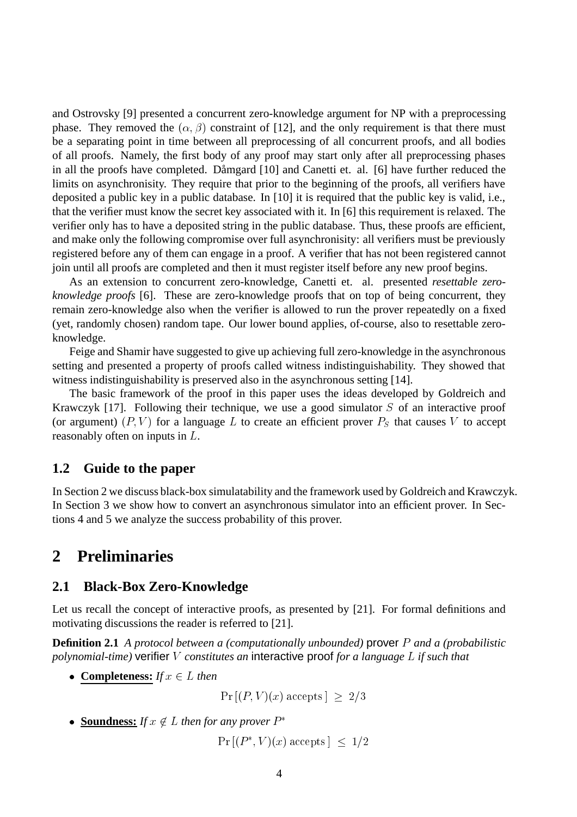and Ostrovsky [9] presented a concurrent zero-knowledge argument for NP with a preprocessing phase. They removed the  $(\alpha, \beta)$  constraint of [12], and the only requirement is that there must be a separating point in time between all preprocessing of all concurrent proofs, and all bodies of all proofs. Namely, the first body of any proof may start only after all preprocessing phases in all the proofs have completed. Dåmgard  $[10]$  and Canetti et. al.  $[6]$  have further reduced the limits on asynchronisity. They require that prior to the beginning of the proofs, all verifiers have deposited a public key in a public database. In [10] it is required that the public key is valid, i.e., that the verifier must know the secret key associated with it. In [6] this requirement is relaxed. The verifier only has to have a deposited string in the public database. Thus, these proofs are efficient, and make only the following compromise over full asynchronisity: all verifiers must be previously registered before any of them can engage in a proof. A verifier that has not been registered cannot join until all proofs are completed and then it must register itself before any new proof begins.

As an extension to concurrent zero-knowledge, Canetti et. al. presented *resettable zeroknowledge proofs* [6]. These are zero-knowledge proofs that on top of being concurrent, they remain zero-knowledge also when the verifier is allowed to run the prover repeatedly on a fixed (yet, randomly chosen) random tape. Our lower bound applies, of-course, also to resettable zeroknowledge.

Feige and Shamir have suggested to give up achieving full zero-knowledge in the asynchronous setting and presented a property of proofs called witness indistinguishability. They showed that witness indistinguishability is preserved also in the asynchronous setting [14].

The basic framework of the proof in this paper uses the ideas developed by Goldreich and Krawczyk [17]. Following their technique, we use a good simulator  $S$  of an interactive proof (or argument)  $(P, V)$  for a language L to create an efficient prover  $P<sub>S</sub>$  that causes V to accept reasonably often on inputs in  $L$ .

## **1.2 Guide to the paper**

In Section 2 we discuss black-box simulatability and the framework used by Goldreich and Krawczyk. In Section 3 we show how to convert an asynchronous simulator into an efficient prover. In Sections 4 and 5 we analyze the success probability of this prover.

## **2 Preliminaries**

## **2.1 Black-Box Zero-Knowledge**

Let us recall the concept of interactive proofs, as presented by [21]. For formal definitions and motivating discussions the reader is referred to [21].

**Definition 2.1** *A protocol between a (computationally unbounded)* prover *P* and a (probabilistic *polynomial-time*) verifier *V constitutes an* interactive proof *for a language* L if such that

• **Completeness:** *If*  $x \in L$  *then* 

 -  

• **Soundness:** *If*  $x \notin L$  *then for any prover*  $P^*$ 

 -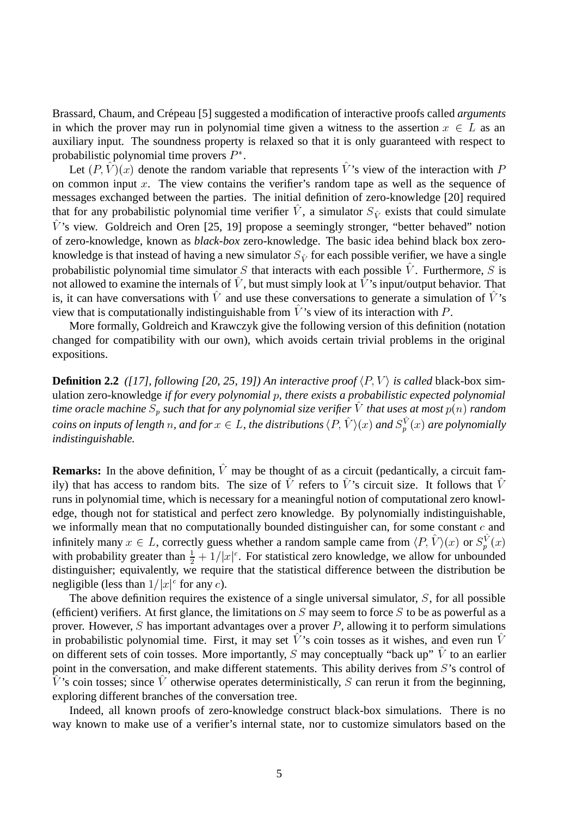Brassard, Chaum, and Crépeau [5] suggested a modification of interactive proofs called *arguments* in which the prover may run in polynomial time given a witness to the assertion  $x \in L$  as an auxiliary input. The soundness property is relaxed so that it is only guaranteed with respect to probabilistic polynomial time provers  $P^*$ .

Let  $(P, V)(x)$  denote the random variable that represents V's view of the interaction with P on common input  $x$ . The view contains the verifier's random tape as well as the sequence of messages exchanged between the parties. The initial definition of zero-knowledge [20] required that for any probabilistic polynomial time verifier V, a simulator  $S_{\hat{V}}$  exists that could simulate V's view. Goldreich and Oren [25, 19] propose a seemingly stronger, "better behaved" notion of zero-knowledge, known as *black-box* zero-knowledge. The basic idea behind black box zeroknowledge is that instead of having a new simulator  $S_{\hat{V}}$  for each possible verifier, we have a single probabilistic polynomial time simulator S that interacts with each possible V. Furthermore, S is not allowed to examine the internals of V, but must simply look at V's input/output behavior. That is, it can have conversations with V and use these conversations to generate a simulation of V's view that is computationally indistinguishable from V's view of its interaction with  $P$ .

More formally, Goldreich and Krawczyk give the following version of this definition (notation changed for compatibility with our own), which avoids certain trivial problems in the original expositions.

**Definition 2.2** ([17], following [20, 25, 19]) An interactive proof  $\langle P, V \rangle$  is called black-box simulation zero-knowledge *if for every polynomial p, there exists a probabilistic expected polynomial*  $t$ ime oracle machine  $S_p$  such that for any polynomial size verifier  $V$  that uses at most  $p(n)$  random  $cosh$  *coins on inputs of length*  $n$ *, and for*  $x \in L$ , the distributions  $\langle P, V \rangle (x)$  and  $S_p^V(x)$  are polynomially *indistinguishable.*

**Remarks:** In the above definition,  $V$  may be thought of as a circuit (pedantically, a circuit family) that has access to random bits. The size of V refers to V's circuit size. It follows that V runs in polynomial time, which is necessary for a meaningful notion of computational zero knowledge, though not for statistical and perfect zero knowledge. By polynomially indistinguishable, we informally mean that no computationally bounded distinguisher can, for some constant  $c$  and infinitely many  $x \in L$ , correctly guess whether a random sample came from  $\langle P, V \rangle (x)$  or  $S_p^V(x)$  with probability greater than  $\frac{1}{2} + 1/|x|^c$ . For statistical zero knowledge, we allow for unbounded distinguisher; equivalently, we require that the statistical difference between the distribution be negligible (less than  $1/|x|^c$  for any c).

The above definition requires the existence of a single universal simulator,  $S$ , for all possible (efficient) verifiers. At first glance, the limitations on  $S$  may seem to force  $S$  to be as powerful as a prover. However,  $S$  has important advantages over a prover  $P$ , allowing it to perform simulations in probabilistic polynomial time. First, it may set V's coin tosses as it wishes, and even run V on different sets of coin tosses. More importantly, S may conceptually "back up" V to an earlier point in the conversation, and make different statements. This ability derives from  $S$ 's control of  $V$ 's coin tosses; since  $V$  otherwise operates deterministically,  $S$  can rerun it from the beginning, exploring different branches of the conversation tree.

Indeed, all known proofs of zero-knowledge construct black-box simulations. There is no way known to make use of a verifier's internal state, nor to customize simulators based on the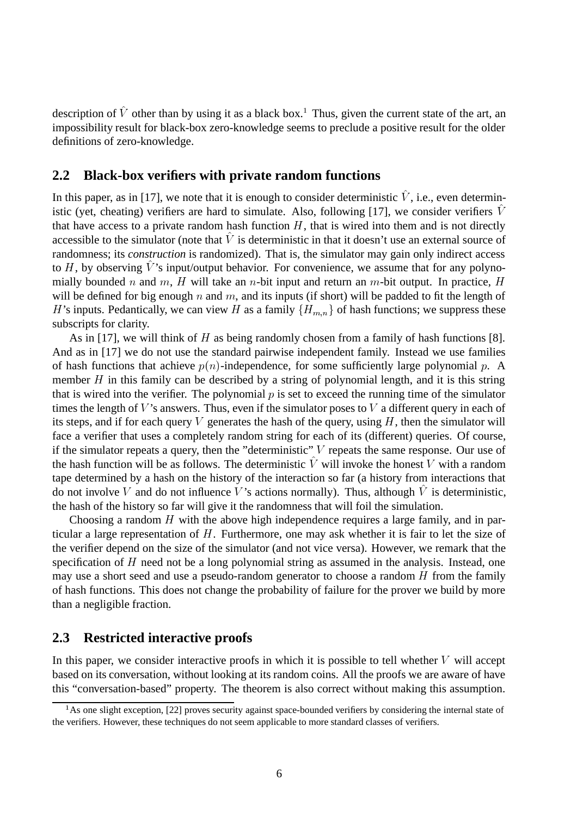description of V other than by using it as a black box.<sup>1</sup> Thus, given the current state of the art, an impossibility result for black-box zero-knowledge seems to preclude a positive result for the older definitions of zero-knowledge.

## **2.2 Black-box verifiers with private random functions**

In this paper, as in [17], we note that it is enough to consider deterministic  $V$ , i.e., even deterministic (yet, cheating) verifiers are hard to simulate. Also, following [17], we consider verifiers  $V$ that have access to a private random hash function  $H$ , that is wired into them and is not directly accessible to the simulator (note that  $V$  is deterministic in that it doesn't use an external source of randomness; its *construction* is randomized). That is, the simulator may gain only indirect access to  $H$ , by observing  $V$ 's input/output behavior. For convenience, we assume that for any polynomially bounded *n* and *m*, *H* will take an *n*-bit input and return an *m*-bit output. In practice, *H* will be defined for big enough  $n$  and  $m$ , and its inputs (if short) will be padded to fit the length of H's inputs. Pedantically, we can view H as a family  $\{H_{m,n}\}$  of hash functions; we suppress these subscripts for clarity.

As in [17], we will think of  $H$  as being randomly chosen from a family of hash functions [8]. And as in [17] we do not use the standard pairwise independent family. Instead we use families of hash functions that achieve  $p(n)$ -independence, for some sufficiently large polynomial p. A member  $H$  in this family can be described by a string of polynomial length, and it is this string that is wired into the verifier. The polynomial  $p$  is set to exceed the running time of the simulator times the length of  $V$ 's answers. Thus, even if the simulator poses to  $V$  a different query in each of its steps, and if for each query V generates the hash of the query, using H, then the simulator will face a verifier that uses a completely random string for each of its (different) queries. Of course, if the simulator repeats a query, then the "deterministic"  $V$  repeats the same response. Our use of the hash function will be as follows. The deterministic V will invoke the honest V with a random tape determined by a hash on the history of the interaction so far (a history from interactions that do not involve V and do not influence V's actions normally). Thus, although V is deterministic, the hash of the history so far will give it the randomness that will foil the simulation.

Choosing a random  $H$  with the above high independence requires a large family, and in particular a large representation of  $H$ . Furthermore, one may ask whether it is fair to let the size of the verifier depend on the size of the simulator (and not vice versa). However, we remark that the specification of  $H$  need not be a long polynomial string as assumed in the analysis. Instead, one may use a short seed and use a pseudo-random generator to choose a random  $H$  from the family of hash functions. This does not change the probability of failure for the prover we build by more than a negligible fraction.

## **2.3 Restricted interactive proofs**

In this paper, we consider interactive proofs in which it is possible to tell whether  $V$  will accept based on its conversation, without looking at its random coins. All the proofs we are aware of have this "conversation-based" property. The theorem is also correct without making this assumption.

<sup>&</sup>lt;sup>1</sup>As one slight exception, [22] proves security against space-bounded verifiers by considering the internal state of the verifiers. However, these techniques do not seem applicable to more standard classes of verifiers.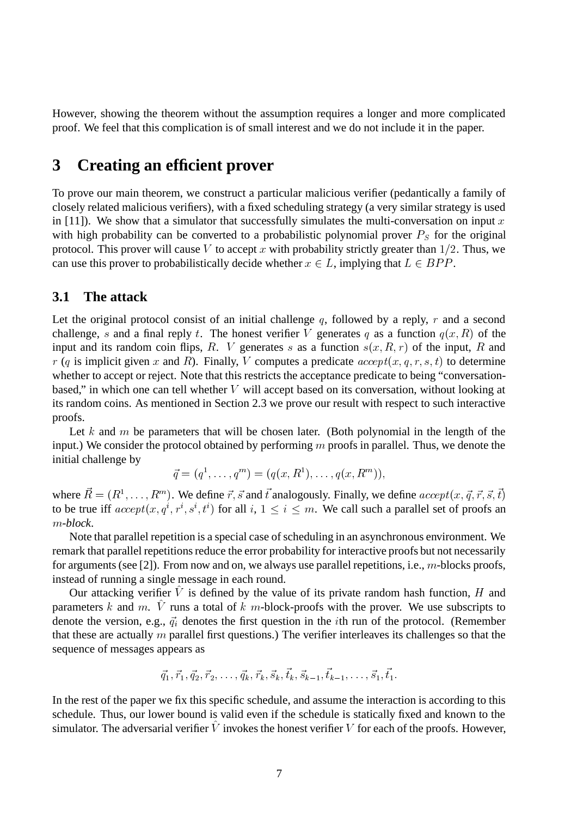However, showing the theorem without the assumption requires a longer and more complicated proof. We feel that this complication is of small interest and we do not include it in the paper.

# **3** Creating an efficient prover

To prove our main theorem, we construct a particular malicious verifier (pedantically a family of closely related malicious verifiers), with a fixed scheduling strategy (a very similar strategy is used in [11]). We show that a simulator that successfully simulates the multi-conversation on input  $x$ with high probability can be converted to a probabilistic polynomial prover  $P<sub>S</sub>$  for the original protocol. This prover will cause  $V$  to accept  $x$  with probability strictly greater than  $1/2.$  Thus, we can use this prover to probabilistically decide whether  $x \in L$ , implying that  $L \in BPP$ .

## **3.1 The attack**

Let the original protocol consist of an initial challenge  $q$ , followed by a reply,  $r$  and a second challenge, s and a final reply t. The honest verifier V generates q as a function  $q(x, R)$  of the input and its random coin flips, R. V generates s as a function  $s(x, R, r)$  of the input, R and r (q is implicit given x and R). Finally, V computes a predicate  $accept(x, q, r, s, t)$  to determine whether to accept or reject. Note that this restricts the acceptance predicate to being "conversationbased," in which one can tell whether  $V$  will accept based on its conversation, without looking at its random coins. As mentioned in Section 2.3 we prove our result with respect to such interactive proofs.

Let  $k$  and  $m$  be parameters that will be chosen later. (Both polynomial in the length of the input.) We consider the protocol obtained by performing  $m$  proofs in parallel. Thus, we denote the initial challenge by

$$
\vec{q} = (q^1, \dots, q^m) = (q(x, R^1), \dots, q(x, R^m)),
$$

where  $R = (R^1, \ldots, R^m)$ . We define  $\vec{r}, \vec{s}$  and  $\vec{t}$  analogously. Finally, we define  $accept(x, \vec{q}, \vec{r}, \vec{s}, \vec{t})$ to be true iff  $accept(x, q^i, r^i, s^i, t^i)$  for all  $i, 1 \le i \le m$ . We call such a parallel set of proofs an *-block*.

Note that parallel repetition is a special case of scheduling in an asynchronous environment. We remark that parallel repetitions reduce the error probability for interactive proofs but not necessarily for arguments (see [2]). From now and on, we always use parallel repetitions, i.e.,  $m$ -blocks proofs, instead of running a single message in each round.

Our attacking verifier V is defined by the value of its private random hash function,  $H$  and parameters k and m. V runs a total of k m-block-proofs with the prover. We use subscripts to denote the version, e.g.,  $\vec{q}_i$  denotes the first question in the *i*th run of the protocol. (Remember that these are actually  $m$  parallel first questions.) The verifier interleaves its challenges so that the sequence of messages appears as

$$
\vec{q_1}, \vec{r_1}, \vec{q_2}, \vec{r_2}, \ldots, \vec{q_k}, \vec{r_k}, \vec{s_k}, \vec{t_k}, \vec{s_{k-1}}, \vec{t_{k-1}}, \ldots, \vec{s_1}, \vec{t_1}.
$$

In the rest of the paper we fix this specific schedule, and assume the interaction is according to this schedule. Thus, our lower bound is valid even if the schedule is statically fixed and known to the simulator. The adversarial verifier  $V$  invokes the honest verifier  $V$  for each of the proofs. However,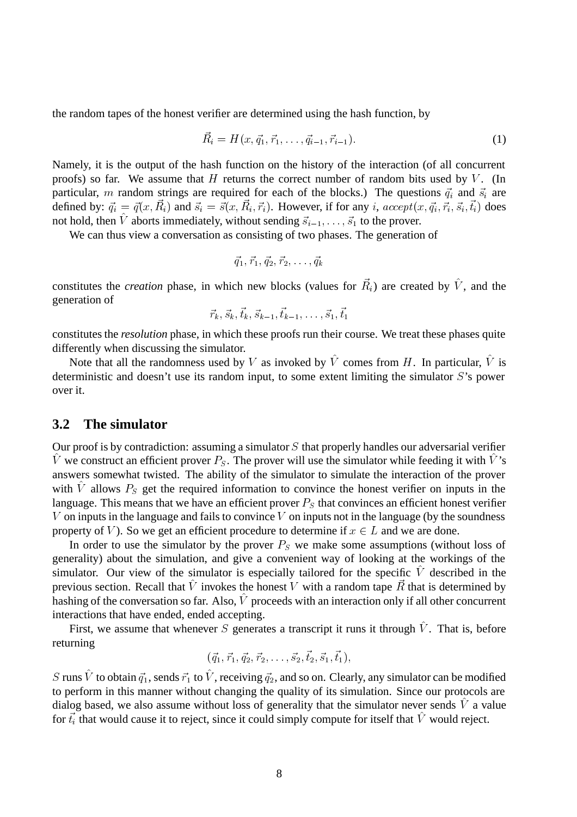the random tapes of the honest verifier are determined using the hash function, by

$$
\vec{R}_i = H(x, \vec{q}_1, \vec{r}_1, \dots, \vec{q}_{i-1}, \vec{r}_{i-1}). \tag{1}
$$

Namely, it is the output of the hash function on the history of the interaction (of all concurrent proofs) so far. We assume that  $H$  returns the correct number of random bits used by  $V$ . (In particular, *m* random strings are required for each of the blocks.) The questions  $\vec{q}_i$  and  $\vec{s}_i$  are defined by:  $\vec{q}_i = \vec{q}(x, R_i)$  and  $\vec{s}_i = \vec{s}(x, R_i, \vec{r}_i)$ . However, if for any i,  $accept(x, \vec{q}_i, \vec{r}_i, \vec{s}_i, t_i)$  does not hold, then V aborts immediately, without sending  $\vec{s}_{i-1}, \ldots, \vec{s}_1$  to the prover.

We can thus view a conversation as consisting of two phases. The generation of

$$
\vec{q_1}, \vec{r_1}, \vec{q_2}, \vec{r_2}, \ldots, \vec{q_k}
$$

constitutes the *creation* phase, in which new blocks (values for  $R_i$ ) are created by V, and the generation of

$$
\vec{r}_k, \vec{s}_k, \vec{t}_k, \vec{s}_{k-1}, \vec{t}_{k-1}, \ldots, \vec{s}_1, \vec{t}_1
$$

constitutes the *resolution* phase, in which these proofs run their course. We treat these phases quite differently when discussing the simulator.

Note that all the randomness used by V as invoked by V comes from H. In particular, V is deterministic and doesn't use its random input, to some extent limiting the simulator  $S$ 's power over it.

## **3.2 The simulator**

Our proof is by contradiction: assuming a simulator  $S$  that properly handles our adversarial verifier V we construct an efficient prover  $P_S$ . The prover will use the simulator while feeding it with V's answers somewhat twisted. The ability of the simulator to simulate the interaction of the prover with V allows  $P<sub>S</sub>$  get the required information to convince the honest verifier on inputs in the language. This means that we have an efficient prover  $P<sub>S</sub>$  that convinces an efficient honest verifier  $V$  on inputs in the language and fails to convince  $V$  on inputs not in the language (by the soundness property of V). So we get an efficient procedure to determine if  $x \in L$  and we are done.

In order to use the simulator by the prover  $P<sub>S</sub>$  we make some assumptions (without loss of generality) about the simulation, and give a convenient way of looking at the workings of the simulator. Our view of the simulator is especially tailored for the specific  $V$  described in the previous section. Recall that V invokes the honest V with a random tape R that is determined by hashing of the conversation so far. Also,  $V$  proceeds with an interaction only if all other concurrent interactions that have ended, ended accepting.

First, we assume that whenever S generates a transcript it runs it through V. That is, before returning

$$
(\vec{q}_1,\vec{r}_1,\vec{q}_2,\vec{r}_2,\ldots,\vec{s}_2,\vec{t}_2,\vec{s}_1,\vec{t}_1),
$$

S runs V to obtain  $\vec{q}_1$ , sends  $\vec{r}_1$  to V, receiving  $\vec{q}_2$ , and so on. Clearly, any simulator can be modified to perform in this manner without changing the quality of its simulation. Since our protocols are dialog based, we also assume without loss of generality that the simulator never sends  $V$  a value for  $\vec{t}_i$  that would cause it to reject, since it could simply compute for itself that  $V$  would reject.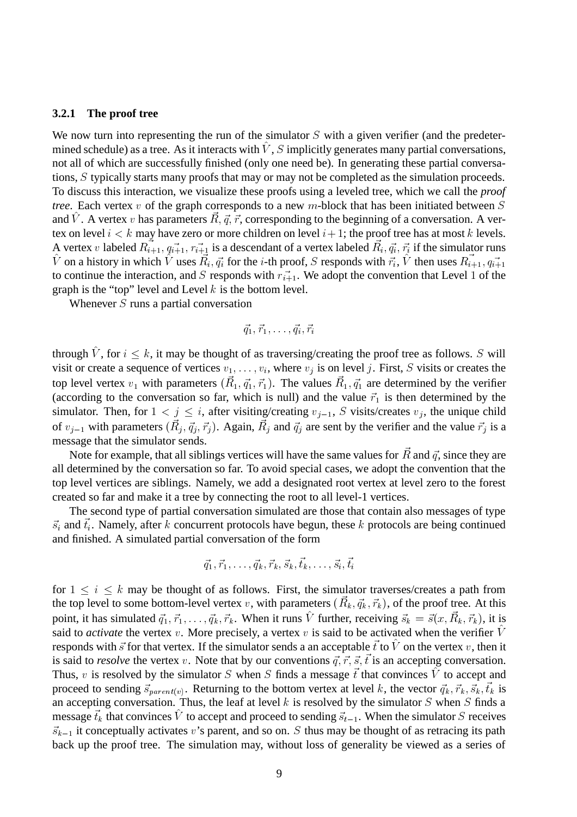#### **3.2.1 The proof tree**

We now turn into representing the run of the simulator  $S$  with a given verifier (and the predetermined schedule) as a tree. As it interacts with  $V, S$  implicitly generates many partial conversations, not all of which are successfully finished (only one need be). In generating these partial conversations, typically starts many proofs that may or may not be completed as the simulation proceeds. To discuss this interaction, we visualize these proofs using a leveled tree, which we call the *proof tree*. Each vertex  $v$  of the graph corresponds to a new  $m$ -block that has been initiated between  $S$ and V. A vertex v has parameters  $\vec{R}, \vec{q}, \vec{r}$ , corresponding to the beginning of a conversation. A vertex on level  $i < k$  may have zero or more children on level  $i + 1$ ; the proof tree has at most  $k$  levels. A vertex v labeled  $R_{i+1}, q_{i+1}$ ,  $r_{i+1}$  is a descendant of a vertex labeled  $R_i, \vec{q_i}, \vec{r_i}$  if the simulator runs V on a history in which V uses  $R_i, \vec{q_i}$  for the *i*-th proof, S responds with  $\vec{r_i}$ , V then uses  $R_{i+1}, \vec{q_{i+1}}$ to continue the interaction, and S responds with  $r_{i+1}$ . We adopt the convention that Level 1 of the graph is the "top" level and Level  $k$  is the bottom level.

Whenever  $S$  runs a partial conversation

$$
\vec{q_1}, \vec{r}_1, \ldots, \vec{q_i}, \vec{r_i}
$$

through V, for  $i \leq k$ , it may be thought of as traversing/creating the proof tree as follows. S will visit or create a sequence of vertices  $v_1, \ldots, v_i$ , where  $v_j$  is on level j. First, S visits or creates the top level vertex  $v_1$  with parameters  $(R_1, \vec{q}_1, \vec{r}_1)$ . The values  $R_1, \vec{q}_1$  are determined by the verifier (according to the conversation so far, which is null) and the value  $\vec{r}_1$  is then determined by the simulator. Then, for  $1 < j \leq i$ , after visiting/creating  $v_{j-1}$ , S visits/creates  $v_j$ , the unique child of  $v_{i-1}$  with parameters  $(R_i, \vec{q}_i, \vec{r}_i)$ . Again,  $R_i$  and  $\vec{q}_i$  are sent by the verifier and the value  $\vec{r}_i$  is a message that the simulator sends.

Note for example, that all siblings vertices will have the same values for  $R$  and  $\vec{q}$ , since they are all determined by the conversation so far. To avoid special cases, we adopt the convention that the top level vertices are siblings. Namely, we add a designated root vertex at level zero to the forest created so far and make it a tree by connecting the root to all level-1 vertices.

The second type of partial conversation simulated are those that contain also messages of type  $\vec{s}_i$  and  $\vec{t}_i$ . Namely, after k concurrent protocols have begun, these k protocols are being continued and finished. A simulated partial conversation of the form

$$
\vec{q_1}, \vec{r_1}, \ldots, \vec{q_k}, \vec{r_k}, \vec{s_k}, \vec{t_k}, \ldots, \vec{s_i}, \vec{t_i}
$$

for  $1 \leq i \leq k$  may be thought of as follows. First, the simulator traverses/creates a path from the top level to some bottom-level vertex v, with parameters  $(R_k, \vec{q}_k, \vec{r}_k)$ , of the proof tree. At this point, it has simulated  $\vec{q}_1, \vec{r}_1, \ldots, \vec{q}_k, \vec{r}_k$ . When it runs V further, receiving  $\vec{s}_k = \vec{s}(x, R_k, \vec{r}_k)$ , it is said to *activate* the vertex v. More precisely, a vertex v is said to be activated when the verifier V responds with  $\vec{s}$  for that vertex. If the simulator sends a an acceptable  $t$  to  $V$  on the vertex  $v$ , then it is said to *resolve* the vertex v. Note that by our conventions  $\vec{q}, \vec{r}, \vec{s}, \vec{t}$  is an accepting conversation. Thus, v is resolved by the simulator S when S finds a message  $\vec{t}$  that convinces V to accept and proceed to sending  $\vec{s}_{parent(v)}$ . Returning to the bottom vertex at level k, the vector  $\vec{q}_k, \vec{r}_k, \vec{s}_k, t_k$  is an accepting conversation. Thus, the leaf at level  $k$  is resolved by the simulator  $S$  when  $S$  finds a message  $\bar{t}_k$  that convinces V to accept and proceed to sending  $\vec{s}_{t-1}$ . When the simulator S receives  $\vec{s}_{k-1}$  it conceptually activates v's parent, and so on. *S* thus may be thought of as retracing its path back up the proof tree. The simulation may, without loss of generality be viewed as a series of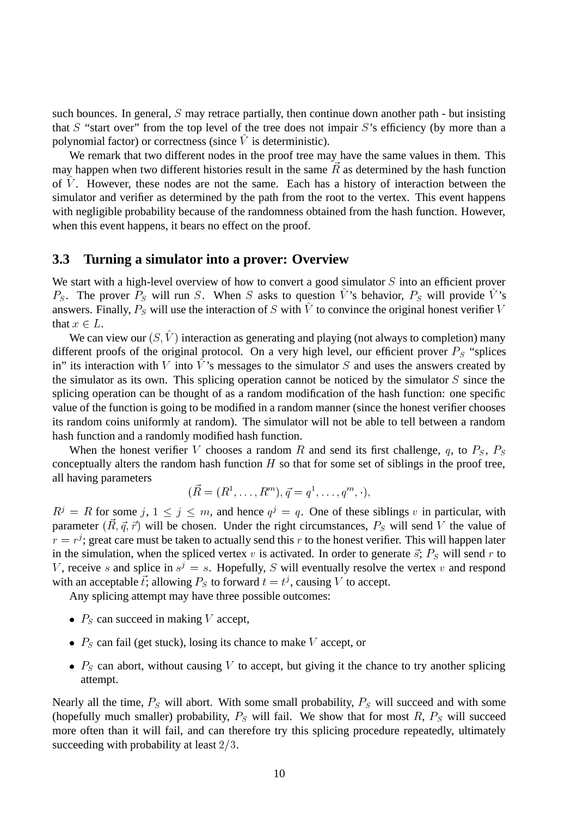such bounces. In general,  $S$  may retrace partially, then continue down another path - but insisting that  $S$  "start over" from the top level of the tree does not impair  $S$ 's efficiency (by more than a polynomial factor) or correctness (since  $V$  is deterministic).

We remark that two different nodes in the proof tree may have the same values in them. This may happen when two different histories result in the same  $R$  as determined by the hash function of V. However, these nodes are not the same. Each has a history of interaction between the simulator and verifier as determined by the path from the root to the vertex. This event happens with negligible probability because of the randomness obtained from the hash function. However, when this event happens, it bears no effect on the proof.

### **3.3 Turning a simulator into a prover: Overview**

We start with a high-level overview of how to convert a good simulator  $S$  into an efficient prover  $P_S$ . The prover  $P_S$  will run S. When S asks to question V's behavior,  $P_S$  will provide V's answers. Finally,  $P_s$  will use the interaction of S with V to convince the original honest verifier V that  $x \in L$ .

We can view our  $(S, V)$  interaction as generating and playing (not always to completion) many different proofs of the original protocol. On a very high level, our efficient prover  $P<sub>S</sub>$  "splices in" its interaction with V into V's messages to the simulator S and uses the answers created by the simulator as its own. This splicing operation cannot be noticed by the simulator  $S$  since the splicing operation can be thought of as a random modification of the hash function: one specific value of the function is going to be modified in a random manner (since the honest verifier chooses its random coins uniformly at random). The simulator will not be able to tell between a random hash function and a randomly modified hash function.

When the honest verifier V chooses a random R and send its first challenge,  $q$ , to  $P_S$ ,  $P_S$ conceptually alters the random hash function  $H$  so that for some set of siblings in the proof tree, all having parameters

$$
(\vec{R} = (R^1, \ldots, R^m), \vec{q} = q^1, \ldots, q^m, \cdot),
$$

 $R^{j} = R$  for some j,  $1 \leq j \leq m$ , and hence  $q^{j} = q$ . One of these siblings v in particular, with parameter  $(R, \vec{q}, \vec{r})$  will be chosen. Under the right circumstances,  $P_S$  will send V the value of  $r = r<sup>j</sup>$ ; great care must be taken to actually send this  $r$  to the honest verifier. This will happen later in the simulation, when the spliced vertex v is activated. In order to generate  $\vec{s}$ ;  $P_s$  will send r to V, receive s and splice in  $s^j = s$ . Hopefully, S will eventually resolve the vertex v and respond with an acceptable  $\vec{t}$ ; allowing  $P_S$  to forward  $t = t^j$ , causing V to accept.

Any splicing attempt may have three possible outcomes:

- $P<sub>S</sub>$  can succeed in making V accept,
- $P<sub>S</sub>$  can fail (get stuck), losing its chance to make V accept, or
- $P_s$  can abort, without causing V to accept, but giving it the chance to try another splicing attempt.

Nearly all the time,  $P<sub>S</sub>$  will abort. With some small probability,  $P<sub>S</sub>$  will succeed and with some (hopefully much smaller) probability,  $P<sub>S</sub>$  will fail. We show that for most R,  $P<sub>S</sub>$  will succeed more often than it will fail, and can therefore try this splicing procedure repeatedly, ultimately succeeding with probability at least  $2/3$ .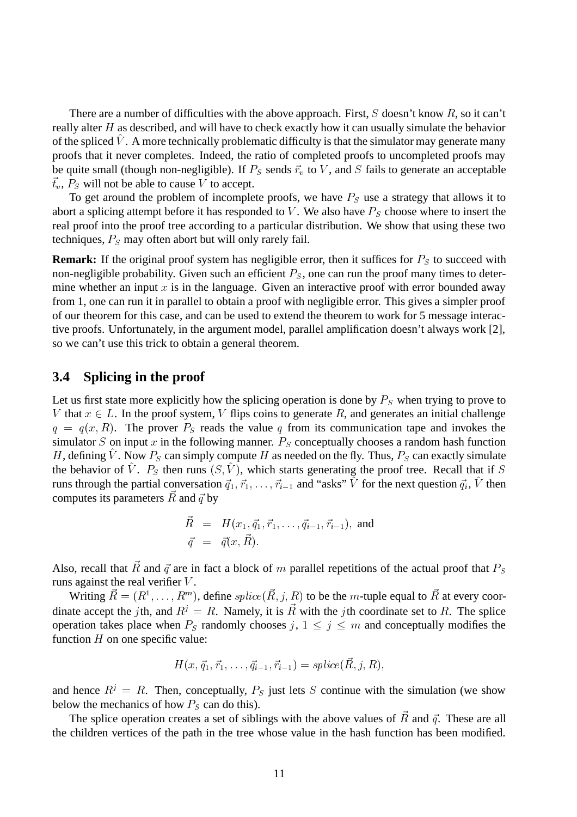There are a number of difficulties with the above approach. First,  $S$  doesn't know  $R$ , so it can't really alter  $H$  as described, and will have to check exactly how it can usually simulate the behavior of the spliced  $V$ . A more technically problematic difficulty is that the simulator may generate many proofs that it never completes. Indeed, the ratio of completed proofs to uncompleted proofs may be quite small (though non-negligible). If  $P_S$  sends  $\vec{r}_v$  to V, and S fails to generate an acceptable  $t_v$ ,  $P_s$  will not be able to cause V to accept.

To get around the problem of incomplete proofs, we have  $P<sub>S</sub>$  use a strategy that allows it to abort a splicing attempt before it has responded to  $V.$  We also have  $P_S$  choose where to insert the real proof into the proof tree according to a particular distribution. We show that using these two techniques,  $P<sub>S</sub>$  may often abort but will only rarely fail.

**Remark:** If the original proof system has negligible error, then it suffices for  $P<sub>S</sub>$  to succeed with non-negligible probability. Given such an efficient  $P_s$ , one can run the proof many times to determine whether an input  $x$  is in the language. Given an interactive proof with error bounded away from 1, one can run it in parallel to obtain a proof with negligible error. This gives a simpler proof of our theorem for this case, and can be used to extend the theorem to work for 5 message interactive proofs. Unfortunately, in the argument model, parallel amplification doesn't always work [2], so we can't use this trick to obtain a general theorem.

## **3.4 Splicing in the proof**

Let us first state more explicitly how the splicing operation is done by  $P<sub>S</sub>$  when trying to prove to V that  $x \in L$ . In the proof system, V flips coins to generate R, and generates an initial challenge  $q = q(x, R)$ . The prover  $P<sub>S</sub>$  reads the value q from its communication tape and invokes the simulator S on input x in the following manner.  $P<sub>S</sub>$  conceptually chooses a random hash function H, defining V. Now  $P_S$  can simply compute H as needed on the fly. Thus,  $P_S$  can exactly simulate the behavior of V.  $P_s$  then runs  $(S, V)$ , which starts generating the proof tree. Recall that if S runs through the partial conversation  $\vec{q}_1, \vec{r}_1, \ldots, \vec{r}_{i-1}$  and "asks" V for the next question  $\vec{q}_i$ , V then computes its parameters  $R$  and  $\vec{q}$  by

$$
\vec{R} = H(x_1, \vec{q}_1, \vec{r}_1, \dots, \vec{q}_{i-1}, \vec{r}_{i-1}), \text{ and} \n\vec{q} = \vec{q}(x, \vec{R}).
$$

Also, recall that R and  $\vec{q}$  are in fact a block of m parallel repetitions of the actual proof that  $P_s$ runs against the real verifier  $V$ . .

Writing  $R = (R^1, \ldots, R^m)$ , define  $\text{splice}(R, j, R)$  to be the m-tuple equal to R at every coordinate accept the jth, and  $R^j = R$ . Namely, it is R with the jth coordinate set to R. The splice operation takes place when  $P_s$  randomly chooses j,  $1 \le j \le m$  and conceptually modifies the function  $H$  on one specific value:

$$
H(x,\vec{q_1},\vec{r_1},\ldots,\vec{q_{i-1}},\vec{r_{i-1}})=splice(R,j,R),
$$

and hence  $R^j = R$ . Then, conceptually,  $P_S$  just lets S continue with the simulation (we show below the mechanics of how  $P<sub>S</sub>$  can do this).

The splice operation creates a set of siblings with the above values of R and  $\vec{q}$ . These are all the children vertices of the path in the tree whose value in the hash function has been modified.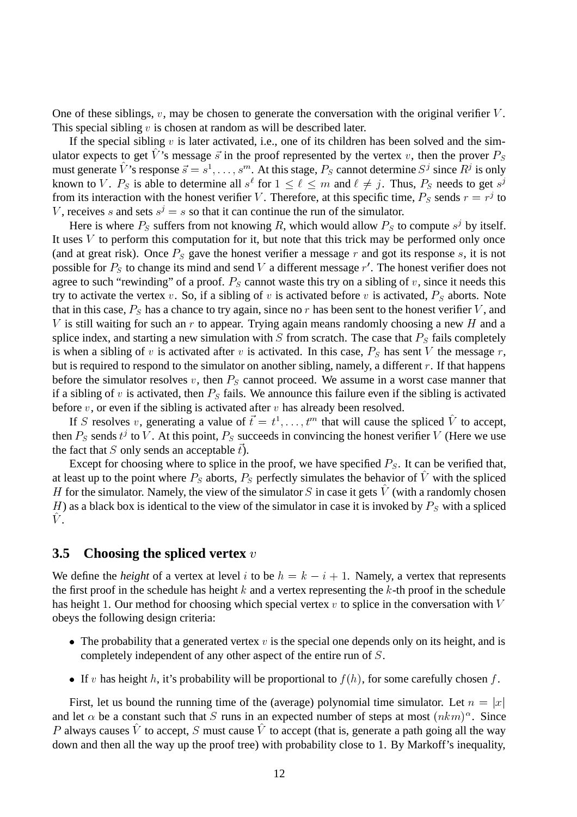One of these siblings,  $v$ , may be chosen to generate the conversation with the original verifier  $V$ . . This special sibling  $v$  is chosen at random as will be described later.

If the special sibling  $v$  is later activated, i.e., one of its children has been solved and the simulator expects to get V's message  $\vec{s}$  in the proof represented by the vertex v, then the prover  $P_S$ must generate V's response  $\vec{s} = s^1, \dots, s^m$ . At this stage,  $P_S$  cannot determine  $S^j$  since  $R^j$  is only known to V.  $P_S$  is able to determine all  $s^l$  for  $1 \leq \ell \leq m$  and  $\ell \neq j$ . Thus,  $P_S$  needs to get  $s^j$ from its interaction with the honest verifier V. Therefore, at this specific time,  $P_s$  sends  $r = r<sup>j</sup>$  to V, receives s and sets  $s^j = s$  so that it can continue the run of the simulator.

Here is where  $P_S$  suffers from not knowing R, which would allow  $P_S$  to compute  $s^j$  by itself. It uses  $V$  to perform this computation for it, but note that this trick may be performed only once (and at great risk). Once  $P<sub>S</sub>$  gave the honest verifier a message  $r$  and got its response  $s$ , it is not possible for  $P_S$  to change its mind and send  $V$  a different message  $r'$ . The honest verifier does not agree to such "rewinding" of a proof.  $P_s$  cannot waste this try on a sibling of  $v$ , since it needs this try to activate the vertex  $v$ . So, if a sibling of  $v$  is activated before  $v$  is activated,  $P_s$  aborts. Note that in this case,  $P_S$  has a chance to try again, since no  $r$  has been sent to the honest verifier V, and V is still waiting for such an  $r$  to appear. Trying again means randomly choosing a new H and a splice index, and starting a new simulation with  $S$  from scratch. The case that  $P_S$  fails completely is when a sibling of v is activated after v is activated. In this case,  $P_s$  has sent V the message r, but is required to respond to the simulator on another sibling, namely, a different  $r$ . If that happens before the simulator resolves  $v$ , then  $P<sub>S</sub>$  cannot proceed. We assume in a worst case manner that if a sibling of  $v$  is activated, then  $P<sub>S</sub>$  fails. We announce this failure even if the sibling is activated before  $v$ , or even if the sibling is activated after  $v$  has already been resolved.

If S resolves v, generating a value of  $t = t^1, \ldots, t^m$  that will cause the spliced V to accept, then  $P_S$  sends  $t^j$  to  $V$ . At this point,  $P_S$  succeeds in convincing the honest verifier  $V$  (Here we use the fact that S only sends an acceptable  $\vec{t}$ ).

Except for choosing where to splice in the proof, we have specified  $P<sub>S</sub>$ . It can be verified that, at least up to the point where  $P_S$  aborts,  $P_S$  perfectly simulates the behavior of V with the spliced H for the simulator. Namely, the view of the simulator  $S$  in case it gets  $V$  (with a randomly chosen H) as a black box is identical to the view of the simulator in case it is invoked by  $P_s$  with a spliced V.

### **3.5 Choosing the spliced vertex**

We define the *height* of a vertex at level i to be  $h = k - i + 1$ . Namely, a vertex that represents the first proof in the schedule has height  $k$  and a vertex representing the  $k$ -th proof in the schedule has height 1. Our method for choosing which special vertex  $v$  to splice in the conversation with  $V$ obeys the following design criteria:

- The probability that a generated vertex  $v$  is the special one depends only on its height, and is completely independent of any other aspect of the entire run of S.
- If v has height h, it's probability will be proportional to  $f(h)$ , for some carefully chosen f.

First, let us bound the running time of the (average) polynomial time simulator. Let  $n = |x|$ and let  $\alpha$  be a constant such that S runs in an expected number of steps at most  $(nkm)^{\alpha}$ . Since P always causes V to accept, S must cause V to accept (that is, generate a path going all the way down and then all the way up the proof tree) with probability close to 1. By Markoff's inequality,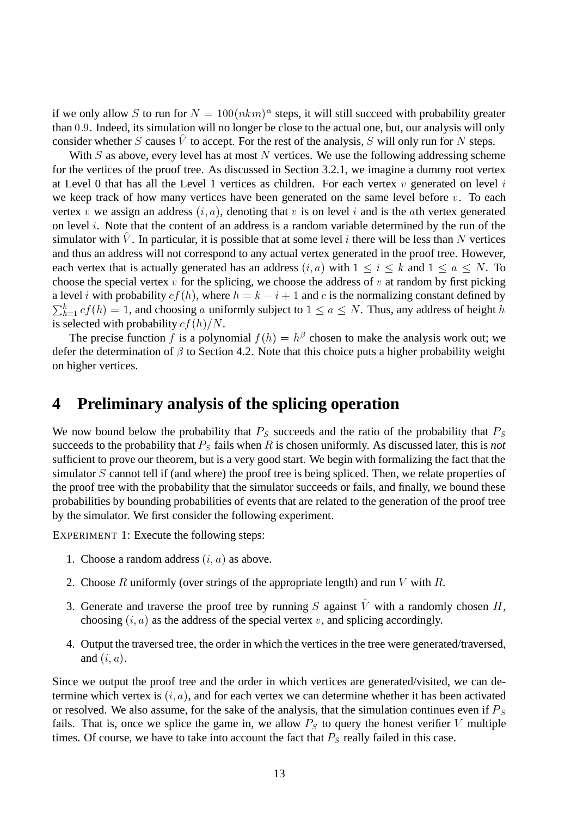if we only allow S to run for  $N = 100(nkm)^{\alpha}$  steps, it will still succeed with probability greater than  $0.9$ . Indeed, its simulation will no longer be close to the actual one, but, our analysis will only consider whether S causes V to accept. For the rest of the analysis, S will only run for N steps.

With  $S$  as above, every level has at most  $N$  vertices. We use the following addressing scheme for the vertices of the proof tree. As discussed in Section 3.2.1, we imagine a dummy root vertex at Level 0 that has all the Level 1 vertices as children. For each vertex  $v$  generated on level  $i$ we keep track of how many vertices have been generated on the same level before  $v$ . To each vertex v we assign an address  $(i, a)$ , denoting that v is on level i and is the ath vertex generated on level  $i$ . Note that the content of an address is a random variable determined by the run of the simulator with V. In particular, it is possible that at some level i there will be less than N vertices and thus an address will not correspond to any actual vertex generated in the proof tree. However, each vertex that is actually generated has an address  $(i, a)$  with  $1 \le i \le k$  and  $1 \le a \le N$ . To choose the special vertex  $v$  for the splicing, we choose the address of  $v$  at random by first picking a level *i* with probability  $cf(h)$ , where  $h = k - i + 1$  and *c* is the normalizing constant defined by  $\sum_{h=1}^{k} cf(h) = 1$ , and choosing a uniformly subject to  $1 \le a \le N$ . Thus, any address of height h is selected with probability  $cf(h)/N$ .

The precise function f is a polynomial  $f(h) = h^{\beta}$  chosen to make the analysis work out; we defer the determination of  $\beta$  to Section 4.2. Note that this choice puts a higher probability weight on higher vertices.

# **4 Preliminary analysis of the splicing operation**

We now bound below the probability that  $P_s$  succeeds and the ratio of the probability that  $P_s$ succeeds to the probability that  $P<sub>S</sub>$  fails when  $R$  is chosen uniformly. As discussed later, this is *not* sufficient to prove our theorem, but is a very good start. We begin with formalizing the fact that the simulator  $S$  cannot tell if (and where) the proof tree is being spliced. Then, we relate properties of the proof tree with the probability that the simulator succeeds or fails, and finally, we bound these probabilities by bounding probabilities of events that are related to the generation of the proof tree by the simulator. We first consider the following experiment.

EXPERIMENT 1: Execute the following steps:

- 1. Choose a random address  $(i, a)$  as above.
- 2. Choose R uniformly (over strings of the appropriate length) and run V with R.
- 3. Generate and traverse the proof tree by running S against V with a randomly chosen  $H$ , choosing  $(i, a)$  as the address of the special vertex v, and splicing accordingly.
- 4. Output the traversed tree, the order in which the vertices in the tree were generated/traversed, and  $(i, a)$ .

Since we output the proof tree and the order in which vertices are generated/visited, we can determine which vertex is  $(i, a)$ , and for each vertex we can determine whether it has been activated or resolved. We also assume, for the sake of the analysis, that the simulation continues even if  $P_s$ fails. That is, once we splice the game in, we allow  $P<sub>S</sub>$  to query the honest verifier V multiple times. Of course, we have to take into account the fact that  $P<sub>S</sub>$  really failed in this case.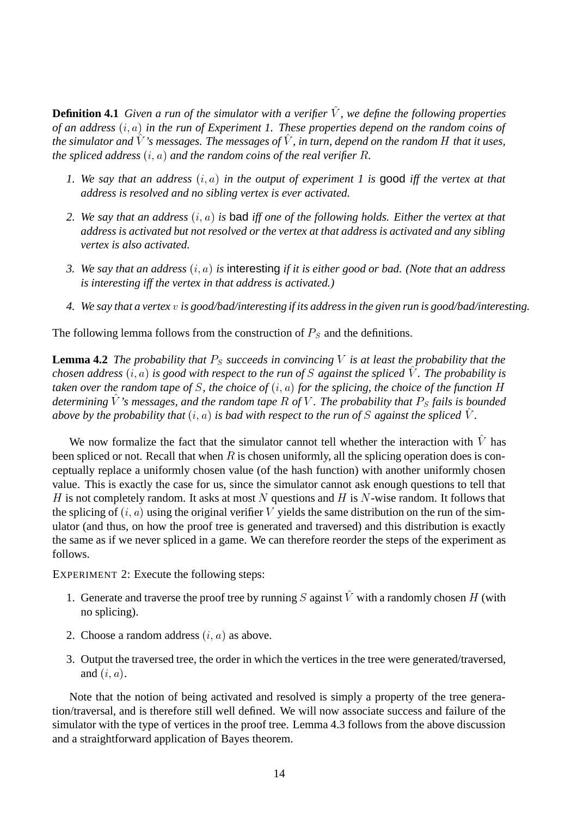**Definition 4.1** *Given a run of the simulator with a verifier* V, we define the following properties *of an address*  $(i, a)$  *in the run of Experiment 1. These properties depend on the random coins of* the simulator and V's messages. The messages of V , in turn, depend on the random H that it uses, *the spliced address*  $(i, a)$  *and the random coins of the real verifier*  $R$ *.* 

- *1. We say that an address in the output of experiment 1 is* good *iff the vertex at that address is resolved and no sibling vertex is ever activated.*
- *2. We say that an address is* bad *iff one of the following holds. Either the vertex at that address is activated but not resolved or the vertex at that address is activated and any sibling vertex is also activated.*
- *3. We say that an address is* interesting *if it is either good or bad. (Note that an address is interesting iff the vertex in that address is activated.)*
- *4. We say that a vertex is good/bad/interesting if its address in the given run is good/bad/interesting.*

The following lemma follows from the construction of  $P<sub>S</sub>$  and the definitions.

**Lemma 4.2** *The probability that*  $P_s$  succeeds in convincing V is at least the probability that the chosen address  $(i,a)$  is good with respect to the run of  $S$  against the spliced  $V.$  The probability is *taken over the random tape of S*, the choice of  $(i, a)$  for the splicing, the choice of the function H determining V's messages, and the random tape  $R$  of  $V$  . The probability that  $P_S$  fails is bounded above by the probability that  $(i, a)$  is bad with respect to the run of  $S$  against the spliced  $V$ .

We now formalize the fact that the simulator cannot tell whether the interaction with  $V$  has been spliced or not. Recall that when  $R$  is chosen uniformly, all the splicing operation does is conceptually replace a uniformly chosen value (of the hash function) with another uniformly chosen value. This is exactly the case for us, since the simulator cannot ask enough questions to tell that H is not completely random. It asks at most N questions and H is N-wise random. It follows that the splicing of  $(i, a)$  using the original verifier V yields the same distribution on the run of the simulator (and thus, on how the proof tree is generated and traversed) and this distribution is exactly the same as if we never spliced in a game. We can therefore reorder the steps of the experiment as follows.

EXPERIMENT 2: Execute the following steps:

- 1. Generate and traverse the proof tree by running S against V with a randomly chosen H (with no splicing).
- 2. Choose a random address  $(i, a)$  as above.
- 3. Output the traversed tree, the order in which the vertices in the tree were generated/traversed, and  $(i, a)$ .

Note that the notion of being activated and resolved is simply a property of the tree generation/traversal, and is therefore still well defined. We will now associate success and failure of the simulator with the type of vertices in the proof tree. Lemma 4.3 follows from the above discussion and a straightforward application of Bayes theorem.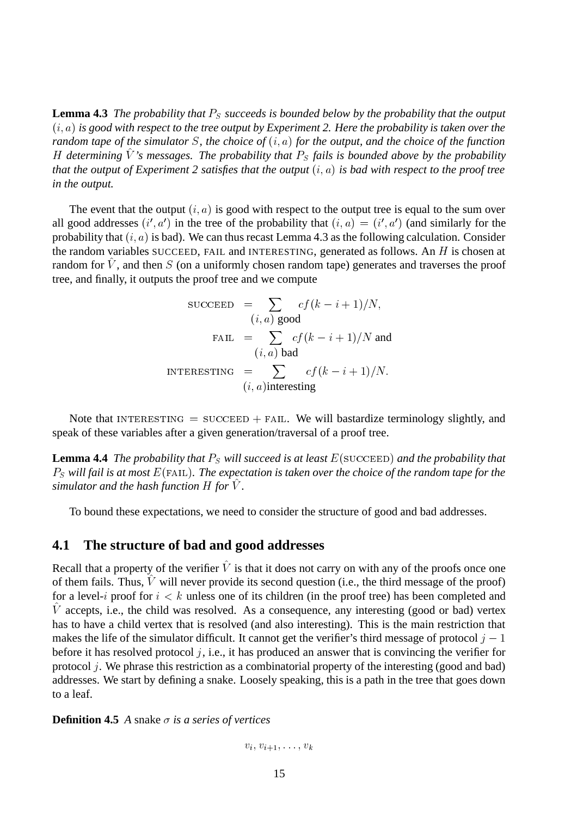**Lemma 4.3** *The probability that*  $P_s$  *succeeds is bounded below by the probability that the output*  $(i, a)$  is good with respect to the tree output by Experiment 2. Here the probability is taken over the *random tape of the simulator S*, the choice of  $(i, a)$  for the output, and the choice of the function  $H$  determining V's messages. The probability that  $P_S$  fails is bounded above by the probability *that the output of Experiment 2 satisfies that the output*  $(i, a)$  *is bad with respect to the proof tree in the output.*

The event that the output  $(i, a)$  is good with respect to the output tree is equal to the sum over all good addresses  $(i', a')$  in the tree of the probability that  $(i, a) = (i', a')$  (and similarly for the probability that  $(i, a)$  is bad). We can thus recast Lemma 4.3 as the following calculation. Consider the random variables SUCCEED, FAIL and INTERESTING, generated as follows. An  $H$  is chosen at random for  $V$ , and then  $S$  (on a uniformly chosen random tape) generates and traverses the proof tree, and finally, it outputs the proof tree and we compute

$$
\text{SUCCEED} = \sum_{(i, a) \text{ good}} cf(k - i + 1)/N,
$$

$$
\text{FAIL} = \sum_{(i, a) \text{ bad}} cf(k - i + 1)/N \text{ and}
$$

$$
\text{INTERESTING} = \sum_{(i, a) \text{ interesting}} cf(k - i + 1)/N.
$$

Note that INTERESTING  $=$  SUCCEED  $+$  FAIL. We will bastardize terminology slightly, and speak of these variables after a given generation/traversal of a proof tree.

**Lemma 4.4** The probability that  $P_S$  will succeed is at least  $E(\text{successed})$  and the probability that  $P<sub>S</sub>$  will fail is at most  $E$ (FAIL). The expectation is taken over the choice of the random tape for the simulator and the hash function  $H$  for  $V$ .

To bound these expectations, we need to consider the structure of good and bad addresses.

### **4.1 The structure of bad and good addresses**

Recall that a property of the verifier  $V$  is that it does not carry on with any of the proofs once one of them fails. Thus,  $V$  will never provide its second question (i.e., the third message of the proof) for a level-*i* proof for  $i < k$  unless one of its children (in the proof tree) has been completed and V accepts, i.e., the child was resolved. As a consequence, any interesting (good or bad) vertex has to have a child vertex that is resolved (and also interesting). This is the main restriction that makes the life of the simulator difficult. It cannot get the verifier's third message of protocol  $j - 1$ before it has resolved protocol  $j$ , i.e., it has produced an answer that is convincing the verifier for protocol  $j$ . We phrase this restriction as a combinatorial property of the interesting (good and bad) addresses. We start by defining a snake. Loosely speaking, this is a path in the tree that goes down to a leaf.

**Definition 4.5** *A* snake  $\sigma$  *is a series of vertices* 

 $v_i, v_{i+1}, \ldots, v_k$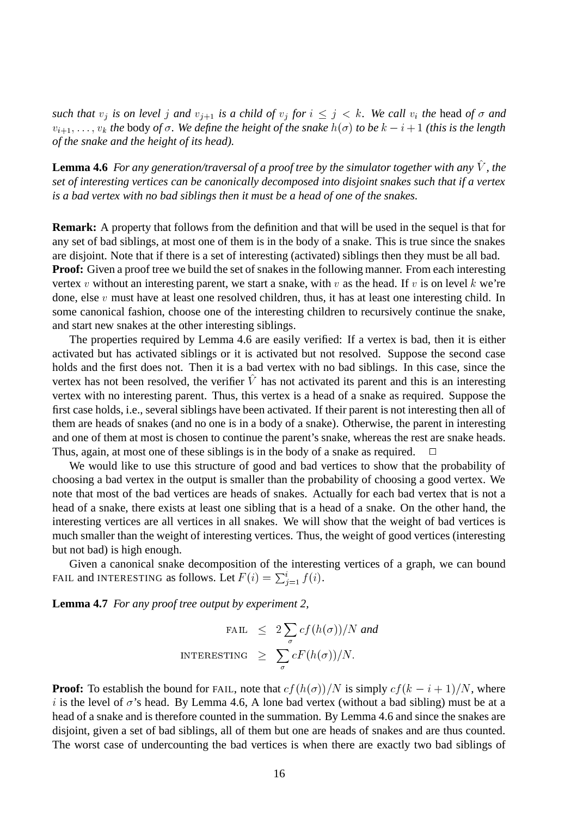*such that*  $v_j$  *is on level*  $j$  *and*  $v_{j+1}$  *is a child of*  $v_j$  *for*  $i \leq j \leq k$ *. We call*  $v_i$  *the* head *of*  $\sigma$  *and*  $v_{i+1}, \ldots, v_k$  the body of  $\sigma$ . We define the height of the snake  $h(\sigma)$  to be  $k - i + 1$  (this is the length *of the snake and the height of its head).*

**Lemma 4.6** For any generation/traversal of a proof tree by the simulator together with any V, the *set of interesting vertices can be canonically decomposed into disjoint snakes such that if a vertex is a bad vertex with no bad siblings then it must be a head of one of the snakes.*

**Remark:** A property that follows from the definition and that will be used in the sequel is that for any set of bad siblings, at most one of them is in the body of a snake. This is true since the snakes are disjoint. Note that if there is a set of interesting (activated) siblings then they must be all bad. **Proof:** Given a proof tree we build the set of snakes in the following manner. From each interesting vertex  $v$  without an interesting parent, we start a snake, with  $v$  as the head. If  $v$  is on level  $k$  we're done, else  $v$  must have at least one resolved children, thus, it has at least one interesting child. In some canonical fashion, choose one of the interesting children to recursively continue the snake, and start new snakes at the other interesting siblings.

The properties required by Lemma 4.6 are easily verified: If a vertex is bad, then it is either activated but has activated siblings or it is activated but not resolved. Suppose the second case holds and the first does not. Then it is a bad vertex with no bad siblings. In this case, since the vertex has not been resolved, the verifier  $V$  has not activated its parent and this is an interesting vertex with no interesting parent. Thus, this vertex is a head of a snake as required. Suppose the first case holds, i.e., several siblings have been activated. If their parent is not interesting then all of them are heads of snakes (and no one is in a body of a snake). Otherwise, the parent in interesting and one of them at most is chosen to continue the parent's snake, whereas the rest are snake heads. Thus, again, at most one of these siblings is in the body of a snake as required.

We would like to use this structure of good and bad vertices to show that the probability of choosing a bad vertex in the output is smaller than the probability of choosing a good vertex. We note that most of the bad vertices are heads of snakes. Actually for each bad vertex that is not a head of a snake, there exists at least one sibling that is a head of a snake. On the other hand, the interesting vertices are all vertices in all snakes. We will show that the weight of bad vertices is much smaller than the weight of interesting vertices. Thus, the weight of good vertices (interesting but not bad) is high enough.

Given a canonical snake decomposition of the interesting vertices of a graph, we can bound FAIL and INTERESTING as follows. Let  $F(i) = \sum_{i=1}^{i} f(i)$ .

**Lemma 4.7** *For any proof tree output by experiment 2,*

$$
\text{FAIL} \leq 2 \sum_{\sigma} cf(h(\sigma))/N \text{ and}
$$
\n
$$
\text{INTERESTING} \geq \sum_{\sigma} cF(h(\sigma))/N.
$$

**Proof:** To establish the bound for FAIL, note that  $cf(h(\sigma))/N$  is simply  $cf(k-i+1)/N$ , where i is the level of  $\sigma$ 's head. By Lemma 4.6, A lone bad vertex (without a bad sibling) must be at a head of a snake and is therefore counted in the summation. By Lemma 4.6 and since the snakes are disjoint, given a set of bad siblings, all of them but one are heads of snakes and are thus counted. The worst case of undercounting the bad vertices is when there are exactly two bad siblings of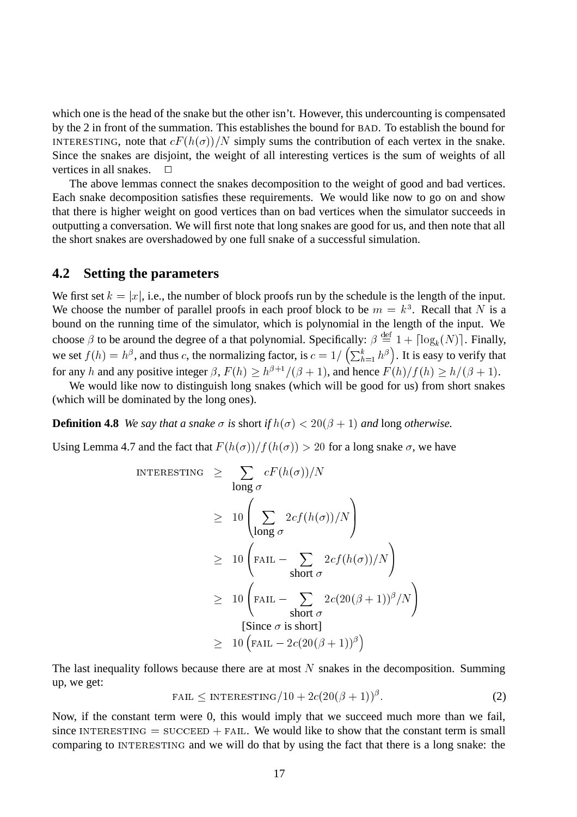which one is the head of the snake but the other isn't. However, this undercounting is compensated by the 2 in front of the summation. This establishes the bound for BAD. To establish the bound for INTERESTING, note that  $cF(h(\sigma))/N$  simply sums the contribution of each vertex in the snake. Since the snakes are disjoint, the weight of all interesting vertices is the sum of weights of all vertices in all snakes.  $\square$ 

The above lemmas connect the snakes decomposition to the weight of good and bad vertices. Each snake decomposition satisfies these requirements. We would like now to go on and show that there is higher weight on good vertices than on bad vertices when the simulator succeeds in outputting a conversation. We will first note that long snakes are good for us, and then note that all the short snakes are overshadowed by one full snake of a successful simulation.

## **4.2 Setting the parameters**

We first set  $k = |x|$ , i.e., the number of block proofs run by the schedule is the length of the input. We choose the number of parallel proofs in each proof block to be  $m = k<sup>3</sup>$ . Recall that N is a bound on the running time of the simulator, which is polynomial in the length of the input. We choose  $\beta$  to be around the degree of a that polynomial. Specifically:  $\beta \stackrel{\text{def}}{=} 1 + \lceil \log_k(N) \rceil$ . Finally, we set  $f(h) = h^{\beta}$ , and thus c, the normalizing factor, is  $c = 1/\left(\sum_{h=1}^{k} h^{\beta}\right)$ . It is easy to verify that for any h and any positive integer  $\beta$ ,  $F(h) \geq h^{\beta+1}/(\beta+1)$ , and hence  $F(h)/f(h) \geq h/(\beta+1)$ .

We would like now to distinguish long snakes (which will be good for us) from short snakes (which will be dominated by the long ones).

**Definition 4.8** *We say that a snake*  $\sigma$  *is* short *if*  $h(\sigma) < 20(\beta + 1)$  *and* long *otherwise.* 

Using Lemma 4.7 and the fact that  $F(h(\sigma))/f(h(\sigma)) > 20$  for a long snake  $\sigma$ , we have

$$
\begin{array}{rcl}\n\text{INTERESTING} & \geq & \sum_{\text{long } \sigma} cF(h(\sigma))/N \\
& \geq & 10 \left( \sum_{\text{long } \sigma} 2cf(h(\sigma))/N \right) \\
& \geq & 10 \left( \text{FAIL} - \sum_{\text{short } \sigma} 2cf(h(\sigma))/N \right) \\
& \geq & 10 \left( \text{FAIL} - \sum_{\text{short } \sigma} 2c(20(\beta + 1))^{\beta}/N \right) \\
& \leq & 10 \left( \text{FAIL} - 2c(20(\beta + 1))^{\beta} \right)\n\end{array}
$$

The last inequality follows because there are at most  $N$  snakes in the decomposition. Summing up, we get:

$$
\text{FAIL} \leq \text{INTERESTING}/10 + 2c(20(\beta + 1))^{\beta}.\tag{2}
$$

Now, if the constant term were 0, this would imply that we succeed much more than we fail, since INTERESTING  $=$  SUCCEED  $+$  FAIL. We would like to show that the constant term is small comparing to INTERESTING and we will do that by using the fact that there is a long snake: the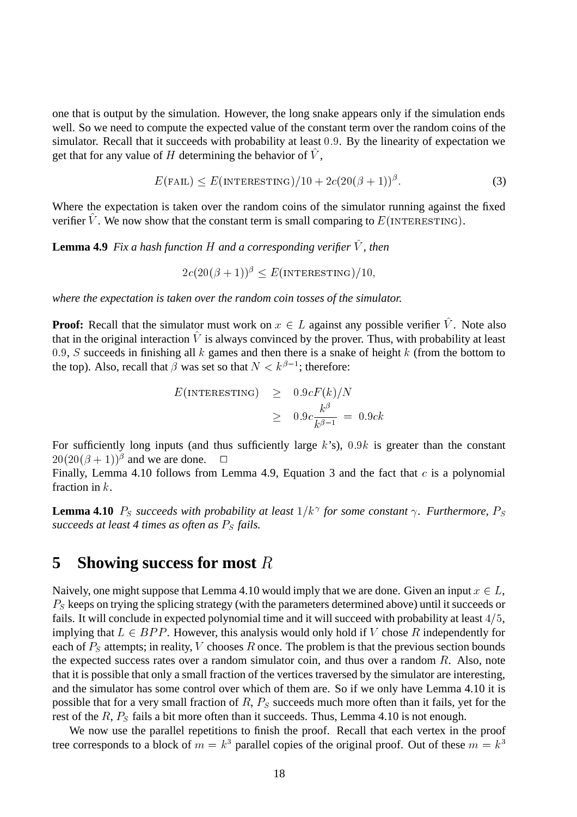one that is output by the simulation. However, the long snake appears only if the simulation ends well. So we need to compute the expected value of the constant term over the random coins of the simulator. Recall that it succeeds with probability at least  $0.9$ . By the linearity of expectation we get that for any value of  $H$  determining the behavior of  $V$ ,

$$
E(\text{FAIL}) \le E(\text{INTERESTING})/10 + 2c(20(\beta + 1))^{\beta}.\tag{3}
$$

Where the expectation is taken over the random coins of the simulator running against the fixed verifier V. We now show that the constant term is small comparing to  $E(\text{INTERESTING})$ .

**Lemma 4.9** *Fix a hash function H and a corresponding verifier V, then* 

$$
2c(20(\beta+1))^{\beta} \le E(\text{INTERESTING})/10,
$$

*where the expectation is taken over the random coin tosses of the simulator.*

**Proof:** Recall that the simulator must work on  $x \in L$  against any possible verifier V. Note also that in the original interaction V is always convinced by the prover. Thus, with probability at least 0.9, S succeeds in finishing all  $k$  games and then there is a snake of height  $k$  (from the bottom to the top). Also, recall that  $\beta$  was set so that  $N < k^{\beta-1}$ ; therefore:

$$
E(\text{INTERESTING}) \geq 0.9cF(k)/N
$$
  

$$
\geq 0.9c\frac{k^{\beta}}{k^{\beta-1}} = 0.9c
$$

For sufficiently long inputs (and thus sufficiently large  $k$ 's),  $0.9k$  is greater than the constant  $20(20(\beta+1))^{\beta}$  and we are done.  $\Box$ 

Finally, Lemma 4.10 follows from Lemma 4.9, Equation 3 and the fact that  $c$  is a polynomial fraction in  $k$ .

**Lemma 4.10**  $P_S$  succeeds with probability at least  $1/k^{\gamma}$  for some constant  $\gamma$ . Furthermore,  $P_S$ *succeeds at least 4 times as often as*  $P_s$  *fails.* 

## **5 Showing success for most**

Naively, one might suppose that Lemma 4.10 would imply that we are done. Given an input  $x \in L$ ,  $P<sub>S</sub>$  keeps on trying the splicing strategy (with the parameters determined above) until it succeeds or fails. It will conclude in expected polynomial time and it will succeed with probability at least  $4/5$ , implying that  $L \in BPP$ . However, this analysis would only hold if V chose R independently for each of  $P_S$  attempts; in reality, V chooses R once. The problem is that the previous section bounds the expected success rates over a random simulator coin, and thus over a random  $R$ . Also, note that it is possible that only a small fraction of the vertices traversed by the simulator are interesting, and the simulator has some control over which of them are. So if we only have Lemma 4.10 it is possible that for a very small fraction of  $R$ ,  $P_s$  succeeds much more often than it fails, yet for the rest of the  $R$ ,  $P<sub>S</sub>$  fails a bit more often than it succeeds. Thus, Lemma 4.10 is not enough.

We now use the parallel repetitions to finish the proof. Recall that each vertex in the proof tree corresponds to a block of  $m = k^3$  parallel copies of the original proof. Out of these  $m = k^3$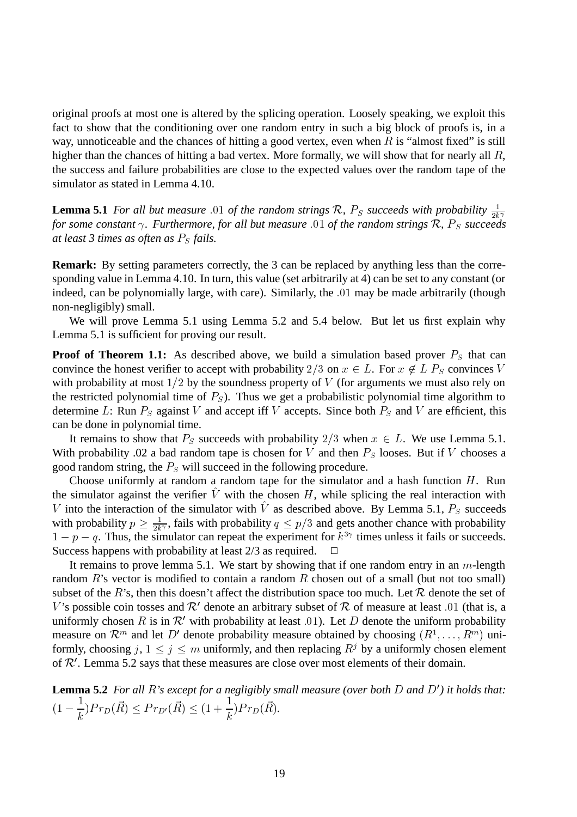original proofs at most one is altered by the splicing operation. Loosely speaking, we exploit this fact to show that the conditioning over one random entry in such a big block of proofs is, in a way, unnoticeable and the chances of hitting a good vertex, even when  $R$  is "almost fixed" is still higher than the chances of hitting a bad vertex. More formally, we will show that for nearly all  $R$ , the success and failure probabilities are close to the expected values over the random tape of the simulator as stated in Lemma 4.10.

**Lemma 5.1** *For all but measure*  $.01$  *of the random strings*  $\mathcal{R}$ ,  $P_S$  succeeds with probability  $\frac{1}{2k\gamma}$ *for some constant*  $\gamma$ *. Furthermore, for all but measure* 0.01 of the random strings R,  $P_s$  succeeds *at least 3 times as often as fails.*

**Remark:** By setting parameters correctly, the 3 can be replaced by anything less than the corresponding value in Lemma 4.10. In turn, this value (set arbitrarily at 4) can be set to any constant (or indeed, can be polynomially large, with care). Similarly, the  $.01$  may be made arbitrarily (though non-negligibly) small.

We will prove Lemma 5.1 using Lemma 5.2 and 5.4 below. But let us first explain why Lemma 5.1 is sufficient for proving our result.

**Proof of Theorem 1.1:** As described above, we build a simulation based prover  $P<sub>S</sub>$  that can convince the honest verifier to accept with probability  $2/3$  on  $x \in L$ . For  $x \notin L$   $P_S$  convinces V with probability at most  $1/2$  by the soundness property of  $V$  (for arguments we must also rely on the restricted polynomial time of  $P<sub>S</sub>$ ). Thus we get a probabilistic polynomial time algorithm to determine L: Run  $P_s$  against V and accept iff V accepts. Since both  $P_s$  and V are efficient, this can be done in polynomial time.

It remains to show that  $P_S$  succeeds with probability  $2/3$  when  $x \in L$ . We use Lemma 5.1. With probability .02 a bad random tape is chosen for V and then  $P<sub>S</sub>$  looses. But if V chooses a good random string, the  $P<sub>S</sub>$  will succeed in the following procedure.

Choose uniformly at random a random tape for the simulator and a hash function  $H$ . Run the simulator against the verifier V with the chosen  $H$ , while splicing the real interaction with V into the interaction of the simulator with V as described above. By Lemma 5.1,  $P_s$  succeeds with probability  $p \geq \frac{1}{2k\gamma}$ , fails with probability  $q \leq p/3$  and gets another chance with probability  $1 - p - q$ . Thus, the simulator can repeat the experiment for  $k^{3\gamma}$  times unless it fails or succeeds. Success happens with probability at least  $2/3$  as required.  $\square$ 

It remains to prove lemma 5.1. We start by showing that if one random entry in an  $m$ -length random  $R$ 's vector is modified to contain a random  $R$  chosen out of a small (but not too small) subset of the R's, then this doesn't affect the distribution space too much. Let  $R$  denote the set of V's possible coin tosses and  $\mathcal{R}'$  denote an arbitrary subset of  $\mathcal R$  of measure at least 0.1 (that is, a uniformly chosen R is in  $\mathcal{R}'$  with probability at least 0.1). Let D denote the uniform probability measure on  $\mathcal{R}^m$  and let  $D'$  denote probability measure obtained by choosing  $(R^1, \ldots, R^m)$  uniformly, choosing  $j, 1 \leq j \leq m$  uniformly, and then replacing  $R<sup>j</sup>$  by a uniformly chosen element of  $\mathcal{R}'$ . Lemma 5.2 says that these measures are close over most elements of their domain.

**Lemma 5.2** For all R's except for a negligibly small measure (over both D and D') it holds that:  $\frac{1}{I}$ ) $Pr_D(R) \leq Pr_{D'}(R) \leq (1 + \frac{1}{I})$  $Pr_D(R)$ .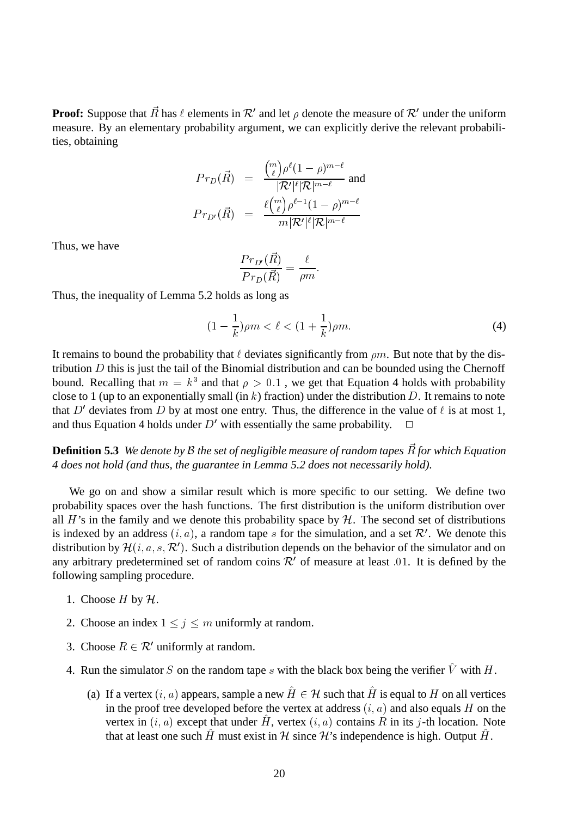**Proof:** Suppose that  $R$  has  $\ell$  elements in  $\mathcal{R}'$  and let  $\rho$  denote the measure of  $\mathcal{R}'$  under the uniform measure. By an elementary probability argument, we can explicitly derive the relevant probabilities, obtaining

$$
Pr_D(\vec{R}) = \frac{{\binom{m}{\ell}} \rho^{\ell} (1-\rho)^{m-\ell}}{|\mathcal{R}'|^{\ell} |\mathcal{R}|^{m-\ell}} \text{ and}
$$
  

$$
Pr_{D'}(\vec{R}) = \frac{\ell {m \choose \ell} \rho^{\ell-1} (1-\rho)^{m-\ell}}{m |\mathcal{R}'|^{\ell} |\mathcal{R}|^{m-\ell}}
$$

Thus, we have

$$
\frac{Pr_{D'}(\vec{R})}{Pr_D(\vec{R})} = \frac{\ell}{\rho m}.
$$

Thus, the inequality of Lemma 5.2 holds as long as

$$
(1 - \frac{1}{k})\rho m < \ell < (1 + \frac{1}{k})\rho m. \tag{4}
$$

It remains to bound the probability that  $\ell$  deviates significantly from  $\rho m$ . But note that by the distribution  $D$  this is just the tail of the Binomial distribution and can be bounded using the Chernoff bound. Recalling that  $m = k^3$  and that  $\rho > 0.1$  , we get that Equation 4 holds with probability close to 1 (up to an exponentially small (in  $k$ ) fraction) under the distribution D. It remains to note that D' deviates from D by at most one entry. Thus, the difference in the value of  $\ell$  is at most 1, and thus Equation 4 holds under  $D'$  with essentially the same probability.  $\Box$ 

**Definition 5.3** *We denote by the set of negligible measure of random tapes for which Equation 4 does not hold (and thus, the guarantee in Lemma 5.2 does not necessarily hold).*

We go on and show a similar result which is more specific to our setting. We define two probability spaces over the hash functions. The first distribution is the uniform distribution over all H's in the family and we denote this probability space by  $H$ . The second set of distributions is indexed by an address  $(i, a)$ , a random tape s for the simulation, and a set  $\mathcal{R}'$ . We denote this distribution by  $\mathcal{H}(i,a,s,\mathcal{R}^{\prime})$ . Such a distribution depends on the behavior of the simulator and on any arbitrary predetermined set of random coins  $\mathcal{R}'$  of measure at least 0.1. It is defined by the following sampling procedure.

- 1. Choose  $H$  by  $H$ .
- 2. Choose an index  $1 \leq j \leq m$  uniformly at random.
- 3. Choose  $R \in \mathcal{R}'$  uniformly at random.
- 4. Run the simulator S on the random tape s with the black box being the verifier V with  $H$ .
	- (a) If a vertex  $(i, a)$  appears, sample a new  $H \in \mathcal{H}$  such that H is equal to H on all vertices in the proof tree developed before the vertex at address  $(i, a)$  and also equals H on the vertex in  $(i, a)$  except that under H, vertex  $(i, a)$  contains R in its j-th location. Note that at least one such H must exist in H since H's independence is high. Output H.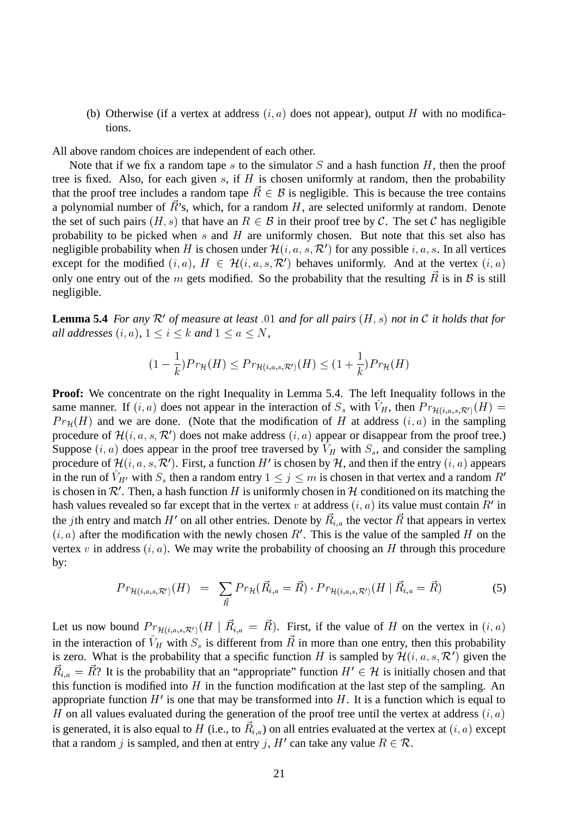(b) Otherwise (if a vertex at address  $(i, a)$  does not appear), output H with no modifications.

All above random choices are independent of each other.

Note that if we fix a random tape s to the simulator S and a hash function H, then the proof tree is fixed. Also, for each given  $s$ , if  $H$  is chosen uniformly at random, then the probability that the proof tree includes a random tape  $\overline{R} \in \mathcal{B}$  is negligible. This is because the tree contains a polynomial number of  $R$ 's, which, for a random  $H$ , are selected uniformly at random. Denote the set of such pairs  $(H, s)$  that have an  $R \in \mathcal{B}$  in their proof tree by C. The set C has negligible probability to be picked when  $s$  and  $H$  are uniformly chosen. But note that this set also has negligible probability when H is chosen under  $\mathcal{H}(i, a, s, \mathcal{R}')$  for any possible  $i, a, s$ . In all vertices except for the modified  $(i, a)$ ,  $H \in \mathcal{H}(i, a, s, \mathcal{R}')$  behaves uniformly. And at the vertex  $(i, a)$ only one entry out of the m gets modified. So the probability that the resulting  $R$  is in  $\mathcal{B}$  is still negligible.

**Lemma 5.4** *For any*  $\mathcal{R}'$  *of measure at least* .01 *and for all pairs*  $(H, s)$  *not in*  $\mathcal{C}$  *it holds that for all addresses*  $(i, a)$ ,  $1 \leq i \leq k$  *and*  $1 \leq a \leq N$ ,

$$
(1 - \frac{1}{k}) Pr_{\mathcal{H}}(H) \leq Pr_{\mathcal{H}(i,a,s,\mathcal{R}')}(H) \leq (1 + \frac{1}{k}) Pr_{\mathcal{H}}(H)
$$

**Proof:** We concentrate on the right Inequality in Lemma 5.4. The left Inequality follows in the same manner. If  $(i, a)$  does not appear in the interaction of  $S_s$  with  $V_H$ , then  $Pr_{\mathcal{H}(i, a, s, \mathcal{R}')}(H)$  =  $Pr_{\mathcal{H}}(H)$  and we are done. (Note that the modification of H at address  $(i, a)$  in the sampling procedure of  $\mathcal{H}(i, a, s, \mathcal{R}')$  does not make address  $(i, a)$  appear or disappear from the proof tree.) Suppose  $(i, a)$  does appear in the proof tree traversed by  $V_H$  with  $S_s$ , and consider the sampling procedure of  $\mathcal{H}(i,a,s,\mathcal{R}')$ . First, a function  $H'$  is chosen by  $\mathcal{H}$ , and then if the entry  $(i,a)$  appears in the run of  $V_{H'}$  with  $S_s$  then a random entry  $1 \leq j \leq m$  is chosen in that vertex and a random  $R'$ is chosen in  $\mathcal{R}'$  . Then, a hash function  $H$  is uniformly chosen in  $\mathcal H$  conditioned on its matching the hash values revealed so far except that in the vertex  $v$  at address  $(i, a)$  its value must contain  $R'$  in the *j*th entry and match H' on all other entries. Denote by  $R_{i,a}$  the vector R that appears in vertex  $(i, a)$  after the modification with the newly chosen R'. This is the value of the sampled H on the vertex v in address  $(i, a)$ . We may write the probability of choosing an H through this procedure by:

$$
Pr_{\mathcal{H}(i,a,s,\mathcal{R}')}(H) = \sum_{\vec{R}} Pr_{\mathcal{H}}(\vec{R}_{i,a} = \vec{R}) \cdot Pr_{\mathcal{H}(i,a,s,\mathcal{R}')}(H \mid \vec{R}_{i,a} = \vec{R}) \tag{5}
$$

Let us now bound  $Pr_{\mathcal{H}(i,a,s,\mathcal{R}')}(H \mid R_{i,a} = R)$ . First, if the value of H on the vertex in  $(i,a)$ in the interaction of  $V_H$  with  $S_s$  is different from R in more than one entry, then this probability is zero. What is the probability that a specific function H is sampled by  $\mathcal{H}(i, a, s, \mathcal{R}')$  given the  $R_{i,a} = R$ ? It is the probability that an "appropriate" function  $H' \in \mathcal{H}$  is initially chosen and that this function is modified into  $H$  in the function modification at the last step of the sampling. An appropriate function  $H'$  is one that may be transformed into  $H$ . It is a function which is equal to H on all values evaluated during the generation of the proof tree until the vertex at address  $(i, a)$ is generated, it is also equal to H (i.e., to  $R_{i,a}$ ) on all entries evaluated at the vertex at  $(i,a)$  except and the state of the state of the that a random  $j$  is sampled, and then at entry  $j$ ,  $H'$  can take any value  $R \in \mathcal{R}$ .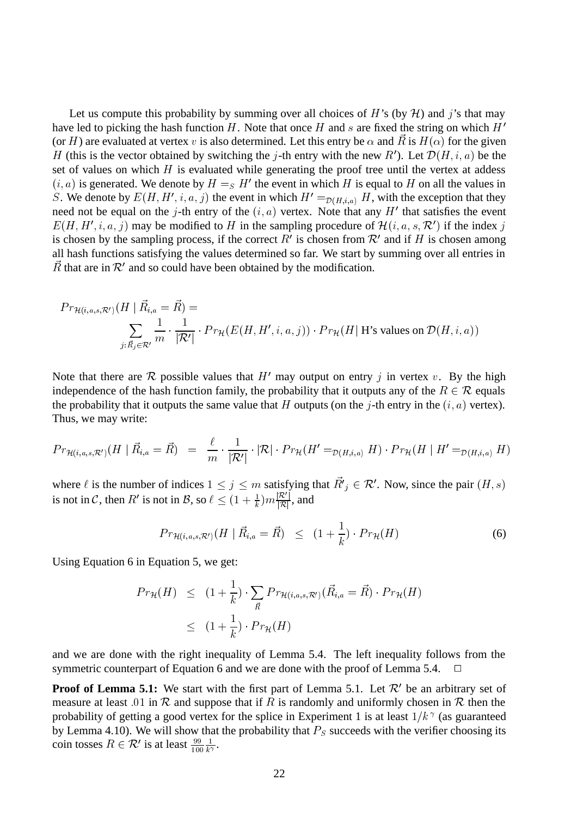Let us compute this probability by summing over all choices of H's (by  $\mathcal{H}$ ) and *i*'s that may have led to picking the hash function H. Note that once H and s are fixed the string on which  $H'$ (or H) are evaluated at vertex v is also determined. Let this entry be  $\alpha$  and R is  $H(\alpha)$  for the given H (this is the vector obtained by switching the j-th entry with the new R'). Let  $\mathcal{D}(H, i, a)$  be the set of values on which  $H$  is evaluated while generating the proof tree until the vertex at addess  $(i, a)$  is generated. We denote by  $H =_{S} H'$  the event in which H is equal to H on all the values in S. We denote by  $E(H, H', i, a, j)$  the event in which  $H' =_{\mathcal{D}(H, i, a)} H$ , with the exception that they need not be equal on the j-th entry of the  $(i, a)$  vertex. Note that any  $H'$  that satisfies the event  $E(H, H', i, a, j)$  may be modified to H in the sampling procedure of  $\mathcal{H}(i, a, s, \mathcal{R}')$  if the index j is chosen by the sampling process, if the correct  $R'$  is chosen from  $\mathcal{R}'$  and if H is chosen among all hash functions satisfying the values determined so far. We start by summing over all entries in R that are in  $\mathcal{R}'$  and so could have been obtained by the modification.

$$
Pr_{\mathcal{H}(i,a,s,\mathcal{R}')} (H \mid \vec{R}_{i,a} = \vec{R}) = \sum_{j:\vec{R}_{j} \in \mathcal{R}'} \frac{1}{m} \cdot \frac{1}{|\mathcal{R}'|} \cdot Pr_{\mathcal{H}}(E(H, H', i, a, j)) \cdot Pr_{\mathcal{H}}(H \mid \mathbf{H's} \text{ values on } \mathcal{D}(H, i, a))
$$

Note that there are  $R$  possible values that  $H'$  may output on entry  $j$  in vertex  $v$ . By the high independence of the hash function family, the probability that it outputs any of the  $R \in \mathcal{R}$  equals the probability that it outputs the same value that H outputs (on the  $j$ -th entry in the  $(i, a)$  vertex). Thus, we may write:

$$
Pr_{\mathcal{H}(i,a,s,\mathcal{R}')} (H \mid \vec{R}_{i,a} = \vec{R}) \;\; = \;\; \frac{\ell}{m} \cdot \frac{1}{|\mathcal{R}'|} \cdot |\mathcal{R}| \cdot Pr_{\mathcal{H}} (H' =_{\mathcal{D}(H,i,a)} H) \cdot Pr_{\mathcal{H}} (H \mid H' =_{\mathcal{D}(H,i,a)} H)
$$

where  $\ell$  is the number of indices  $1 \leq j \leq m$  satisfying that  $R'_{i} \in \mathcal{R}'$ . Now, since the pair  $(H, s)$ is not in C, then R' is not in B, so  $\ell \leq (1 + \frac{1}{k})m \frac{K}{|\mathcal{R}|}$ , and

$$
Pr_{\mathcal{H}(i,a,s,\mathcal{R}')} (H \mid \vec{R}_{i,a} = \vec{R}) \leq (1 + \frac{1}{k}) \cdot Pr_{\mathcal{H}}(H)
$$
 (6)

Using Equation 6 in Equation 5, we get:

$$
Pr_{\mathcal{H}}(H) \leq (1 + \frac{1}{k}) \cdot \sum_{\vec{R}} Pr_{\mathcal{H}(i,a,s,\mathcal{R}')}(\vec{R}_{i,a} = \vec{R}) \cdot Pr_{\mathcal{H}}(H)
$$
  

$$
\leq (1 + \frac{1}{k}) \cdot Pr_{\mathcal{H}}(H)
$$

and we are done with the right inequality of Lemma 5.4. The left inequality follows from the symmetric counterpart of Equation 6 and we are done with the proof of Lemma 5.4.

**Proof of Lemma 5.1:** We start with the first part of Lemma 5.1. Let  $\mathcal{R}'$  be an arbitrary set of measure at least  $.01$  in  $\mathcal R$  and suppose that if R is randomly and uniformly chosen in  $\mathcal R$  then the probability of getting a good vertex for the splice in Experiment 1 is at least  $1/k^{\gamma}$  (as guaranteed by Lemma 4.10). We will show that the probability that  $P<sub>S</sub>$  succeeds with the verifier choosing its coin tosses  $R \in \mathcal{R}'$  is at least  $\frac{99}{100} \frac{1}{k^{\gamma}}$ .  $\frac{1}{k^{\gamma}}$ .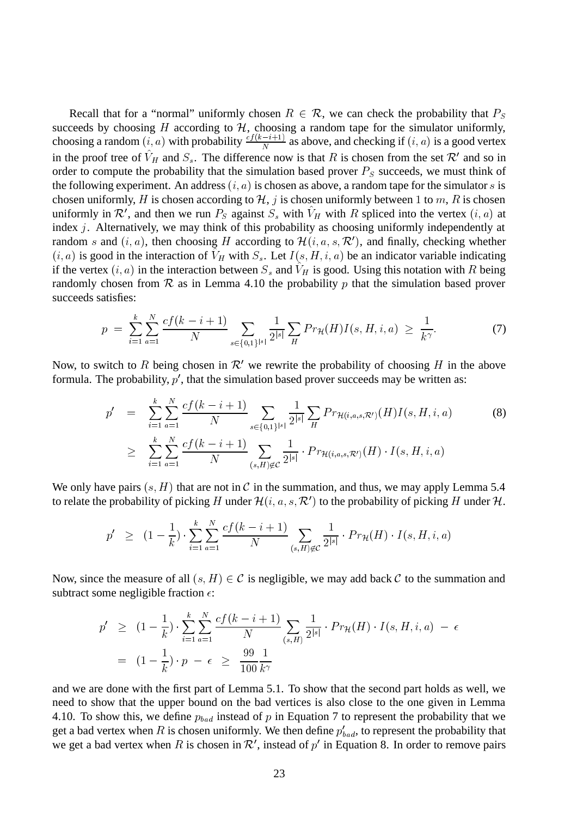Recall that for a "normal" uniformly chosen  $R \in \mathcal{R}$ , we can check the probability that  $P_s$ succeeds by choosing  $H$  according to  $H$ , choosing a random tape for the simulator uniformly, choosing a random  $(i, a)$  with probability  $\frac{cf(E-i+1)}{N}$  as above, and checking if  $(i, a)$  is a good vertex in the proof tree of  $V_H$  and  $S_s$ . The difference now is that R is chosen from the set R' and so in order to compute the probability that the simulation based prover  $P<sub>S</sub>$  succeeds, we must think of the following experiment. An address  $(i, a)$  is chosen as above, a random tape for the simulator s is chosen uniformly, H is chosen according to  $\mathcal{H}$ , j is chosen uniformly between 1 to  $m$ , R is chosen uniformly in  $\mathcal{R}'$ , and then we run  $P_s$  against  $S_s$  with  $V_H$  with  $R$  spliced into the vertex  $(i, a)$  at index  $j$ . Alternatively, we may think of this probability as choosing uniformly independently at random s and  $(i, a)$ , then choosing H according to  $\mathcal{H}(i, a, s, \mathcal{R}')$ , and finally, checking whether  $(i, a)$  is good in the interaction of  $V_H$  with  $S_s$ . Let  $I(s, H, i, a)$  be an indicator variable indicating if the vertex  $(i, a)$  in the interaction between  $S_s$  and  $V_H$  is good. Using this notation with R being randomly chosen from  $R$  as in Lemma 4.10 the probability p that the simulation based prover succeeds satisfies:

$$
p = \sum_{i=1}^{k} \sum_{a=1}^{N} \frac{cf(k-i+1)}{N} \sum_{s \in \{0,1\}^{|s|}} \frac{1}{2^{|s|}} \sum_{H} Pr_{\mathcal{H}}(H) I(s, H, i, a) \ge \frac{1}{k^{\gamma}}.
$$
 (7)

Now, to switch to R being chosen in  $\mathcal{R}'$  we rewrite the probability of choosing H in the above formula. The probability,  $p'$ , that the simulation based prover succeeds may be written as:

$$
p' = \sum_{i=1}^{k} \sum_{a=1}^{N} \frac{cf(k-i+1)}{N} \sum_{s \in \{0,1\}^{|s|}} \frac{1}{2^{|s|}} \sum_{H} Pr_{\mathcal{H}(i,a,s,\mathcal{R}')}(H) I(s,H,i,a)
$$
(8)  

$$
\geq \sum_{i=1}^{k} \sum_{a=1}^{N} \frac{cf(k-i+1)}{N} \sum_{(s,H) \notin \mathcal{C}} \frac{1}{2^{|s|}} \cdot Pr_{\mathcal{H}(i,a,s,\mathcal{R}')}(H) \cdot I(s,H,i,a)
$$

We only have pairs  $(s, H)$  that are not in C in the summation, and thus, we may apply Lemma 5.4 to relate the probability of picking  $H$  under  $\mathcal{H}(i,a,s,\mathcal{R}')$  to the probability of picking  $H$  under  $\mathcal{H}.$ 

$$
p' \geq (1 - \frac{1}{k}) \cdot \sum_{i=1}^{k} \sum_{a=1}^{N} \frac{cf(k-i+1)}{N} \sum_{(s,H) \notin \mathcal{C}} \frac{1}{2^{|s|}} \cdot Pr_{\mathcal{H}}(H) \cdot I(s, H, i, a)
$$

Now, since the measure of all  $(s, H) \in \mathcal{C}$  is negligible, we may add back  $\mathcal C$  to the summation and subtract some negligible fraction  $\epsilon$ :

$$
p' \ge (1 - \frac{1}{k}) \cdot \sum_{i=1}^{k} \sum_{a=1}^{N} \frac{cf(k-i+1)}{N} \sum_{(s,H)} \frac{1}{2^{|s|}} \cdot Pr_{\mathcal{H}}(H) \cdot I(s, H, i, a) - \epsilon
$$
  
=  $(1 - \frac{1}{k}) \cdot p - \epsilon \ge \frac{99}{100} \frac{1}{k^{\gamma}}$ 

and we are done with the first part of Lemma 5.1. To show that the second part holds as well, we need to show that the upper bound on the bad vertices is also close to the one given in Lemma 4.10. To show this, we define  $p_{bad}$  instead of  $p$  in Equation 7 to represent the probability that we get a bad vertex when  $R$  is chosen uniformly. We then define  $p'_{bad}$ , to represent the probability that we get a bad vertex when R is chosen in  $\mathcal{R}'$ , instead of  $p'$  in Equation 8. In order to remove pairs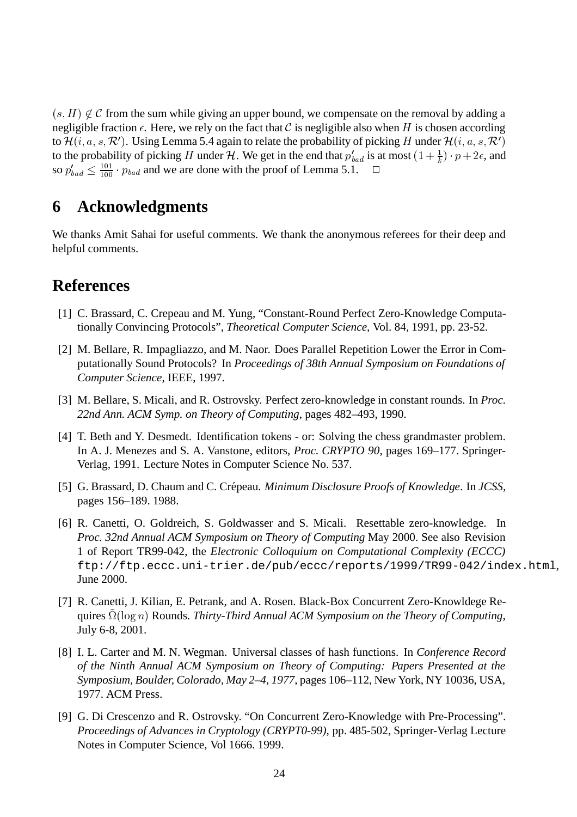$(s, H) \notin \mathcal{C}$  from the sum while giving an upper bound, we compensate on the removal by adding a negligible fraction  $\epsilon$ . Here, we rely on the fact that C is negligible also when H is chosen according to  $\mathcal{H}(i,a,s,\mathcal{R}').$  Using Lemma 5.4 again to relate the probability of picking  $H$  under  $\mathcal{H}(i,a,s,\mathcal{R} ')$ to the probability of picking H under H. We get in the end that  $p'_{bad}$  is at most  $(1+\frac{1}{k}) \cdot p + 2\epsilon$ , and so  $p'_{bad} \leq \frac{101}{100} \cdot p_{bad}$  and we are done with the proof of Lemma 5.1.  $\Box$ 

## **6 Acknowledgments**

We thanks Amit Sahai for useful comments. We thank the anonymous referees for their deep and helpful comments.

# **References**

- [1] C. Brassard, C. Crepeau and M. Yung, "Constant-Round Perfect Zero-Knowledge Computationally Convincing Protocols", *Theoretical Computer Science*, Vol. 84, 1991, pp. 23-52.
- [2] M. Bellare, R. Impagliazzo, and M. Naor. Does Parallel Repetition Lower the Error in Computationally Sound Protocols? In *Proceedings of 38th Annual Symposium on Foundations of Computer Science*, IEEE, 1997.
- [3] M. Bellare, S. Micali, and R. Ostrovsky. Perfect zero-knowledge in constant rounds. In *Proc. 22nd Ann. ACM Symp. on Theory of Computing*, pages 482–493, 1990.
- [4] T. Beth and Y. Desmedt. Identification tokens or: Solving the chess grandmaster problem. In A. J. Menezes and S. A. Vanstone, editors, *Proc. CRYPTO 90*, pages 169–177. Springer-Verlag, 1991. Lecture Notes in Computer Science No. 537.
- [5] G. Brassard, D. Chaum and C. Crépeau. *Minimum Disclosure Proofs of Knowledge*. In *JCSS*, pages 156–189. 1988.
- [6] R. Canetti, O. Goldreich, S. Goldwasser and S. Micali. Resettable zero-knowledge. In *Proc. 32nd Annual ACM Symposium on Theory of Computing* May 2000. See also Revision 1 of Report TR99-042, the *Electronic Colloquium on Computational Complexity (ECCC)* ftp://ftp.eccc.uni-trier.de/pub/eccc/reports/1999/TR99-042/index.html, June 2000.
- [7] R. Canetti, J. Kilian, E. Petrank, and A. Rosen. Black-Box Concurrent Zero-Knowldege Requires  $\Omega(\log n)$  Rounds. *Thirty-Third Annual ACM Symposium on the Theory of Computing*, July 6-8, 2001.
- [8] I. L. Carter and M. N. Wegman. Universal classes of hash functions. In *Conference Record of the Ninth Annual ACM Symposium on Theory of Computing: Papers Presented at the Symposium, Boulder, Colorado, May 2–4, 1977*, pages 106–112, New York, NY 10036, USA, 1977. ACM Press.
- [9] G. Di Crescenzo and R. Ostrovsky. "On Concurrent Zero-Knowledge with Pre-Processing". *Proceedings of Advances in Cryptology (CRYPT0-99)*, pp. 485-502, Springer-Verlag Lecture Notes in Computer Science, Vol 1666. 1999.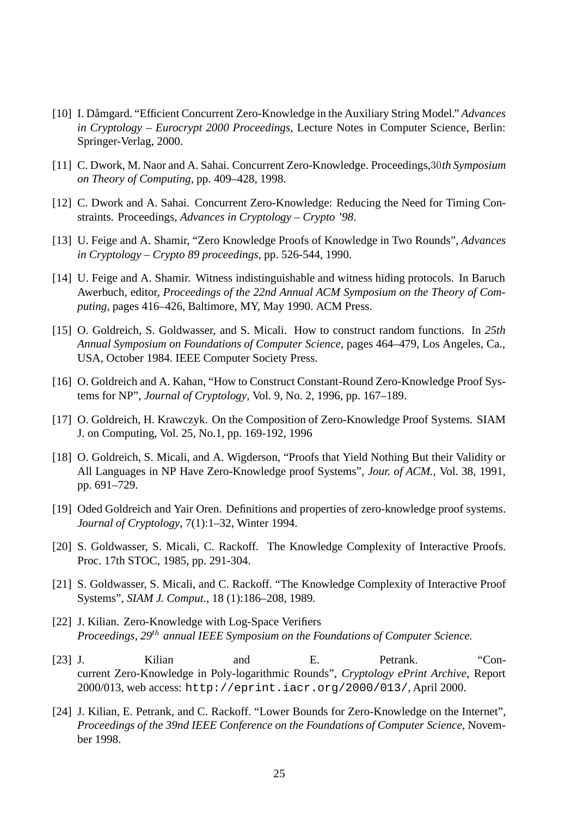- [10] I. Dåmgard. "Efficient Concurrent Zero-Knowledge in the Auxiliary String Model." *Advances in Cryptology – Eurocrypt 2000 Proceedings*, Lecture Notes in Computer Science, Berlin: Springer-Verlag, 2000.
- [11] C. Dwork, M. Naor and A. Sahai. Concurrent Zero-Knowledge. Proceedings,*th Symposium on Theory of Computing*, pp. 409–428, 1998.
- [12] C. Dwork and A. Sahai. Concurrent Zero-Knowledge: Reducing the Need for Timing Constraints. Proceedings, *Advances in Cryptology – Crypto '98*.
- [13] U. Feige and A. Shamir, "Zero Knowledge Proofs of Knowledge in Two Rounds", *Advances in Cryptology – Crypto 89 proceedings*, pp. 526-544, 1990.
- [14] U. Feige and A. Shamir. Witness indistinguishable and witness hiding protocols. In Baruch Awerbuch, editor, *Proceedings of the 22nd Annual ACM Symposium on the Theory of Computing*, pages 416–426, Baltimore, MY, May 1990. ACM Press.
- [15] O. Goldreich, S. Goldwasser, and S. Micali. How to construct random functions. In *25th Annual Symposium on Foundations of Computer Science*, pages 464–479, Los Angeles, Ca., USA, October 1984. IEEE Computer Society Press.
- [16] O. Goldreich and A. Kahan, "How to Construct Constant-Round Zero-Knowledge Proof Systems for NP", *Journal of Cryptology*, Vol. 9, No. 2, 1996, pp. 167–189.
- [17] O. Goldreich, H. Krawczyk. On the Composition of Zero-Knowledge Proof Systems. SIAM J. on Computing, Vol. 25, No.1, pp. 169-192, 1996
- [18] O. Goldreich, S. Micali, and A. Wigderson, "Proofs that Yield Nothing But their Validity or All Languages in NP Have Zero-Knowledge proof Systems", *Jour. of ACM.*, Vol. 38, 1991, pp. 691–729.
- [19] Oded Goldreich and Yair Oren. Definitions and properties of zero-knowledge proof systems. *Journal of Cryptology*, 7(1):1–32, Winter 1994.
- [20] S. Goldwasser, S. Micali, C. Rackoff. The Knowledge Complexity of Interactive Proofs. Proc. 17th STOC, 1985, pp. 291-304.
- [21] S. Goldwasser, S. Micali, and C. Rackoff. "The Knowledge Complexity of Interactive Proof Systems", *SIAM J. Comput.*, 18 (1):186–208, 1989.
- [22] J. Kilian. Zero-Knowledge with Log-Space Verifiers *Proceedings, 29<sup>th</sup> annual IEEE Symposium on the Foundations of Computer Science.*
- [23] J. Kilian and E. Petrank. "Concurrent Zero-Knowledge in Poly-logarithmic Rounds", *Cryptology ePrint Archive*, Report 2000/013, web access: http://eprint.iacr.org/2000/013/, April 2000.
- [24] J. Kilian, E. Petrank, and C. Rackoff. "Lower Bounds for Zero-Knowledge on the Internet", *Proceedings of the 39nd IEEE Conference on the Foundations of Computer Science*, November 1998.